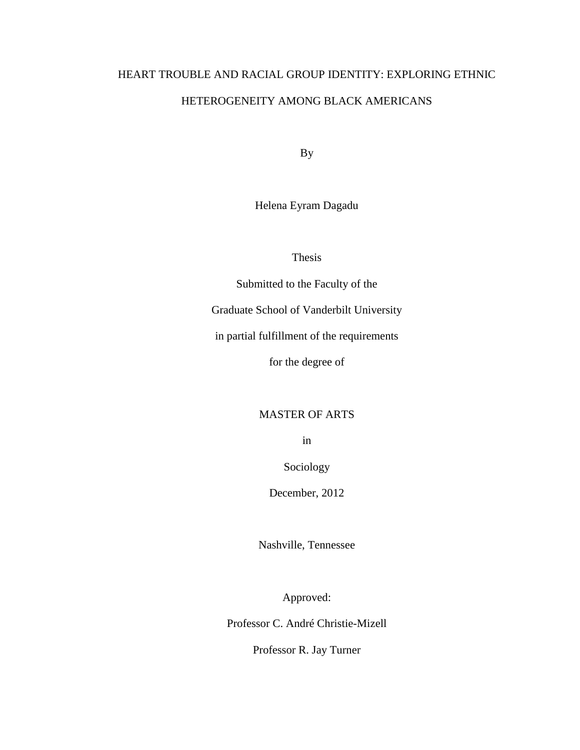# HEART TROUBLE AND RACIAL GROUP IDENTITY: EXPLORING ETHNIC HETEROGENEITY AMONG BLACK AMERICANS

By

Helena Eyram Dagadu

Thesis

Submitted to the Faculty of the

Graduate School of Vanderbilt University

in partial fulfillment of the requirements

for the degree of

# MASTER OF ARTS

in

Sociology

December, 2012

Nashville, Tennessee

Approved:

Professor C. André Christie-Mizell

Professor R. Jay Turner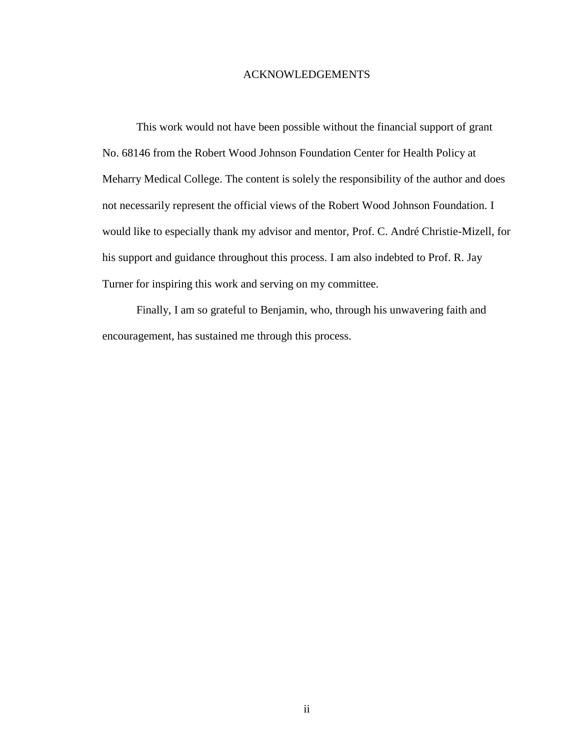#### ACKNOWLEDGEMENTS

This work would not have been possible without the financial support of grant No. 68146 from the Robert Wood Johnson Foundation Center for Health Policy at Meharry Medical College. The content is solely the responsibility of the author and does not necessarily represent the official views of the Robert Wood Johnson Foundation. I would like to especially thank my advisor and mentor, Prof. C. André Christie-Mizell, for his support and guidance throughout this process. I am also indebted to Prof. R. Jay Turner for inspiring this work and serving on my committee.

Finally, I am so grateful to Benjamin, who, through his unwavering faith and encouragement, has sustained me through this process.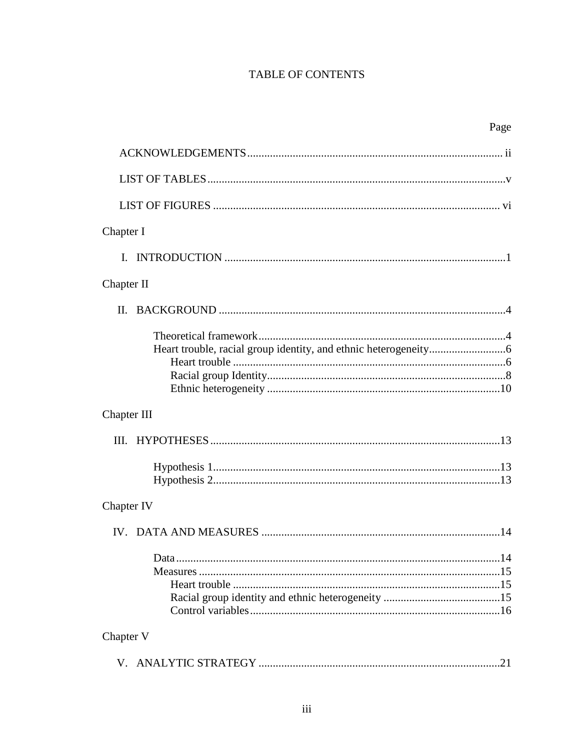# TABLE OF CONTENTS

| Page        |  |
|-------------|--|
|             |  |
|             |  |
|             |  |
| Chapter I   |  |
| L           |  |
| Chapter II  |  |
| $\Pi$ .     |  |
|             |  |
| Chapter III |  |
|             |  |
|             |  |
| Chapter IV  |  |
|             |  |
| Chapter V   |  |
|             |  |
|             |  |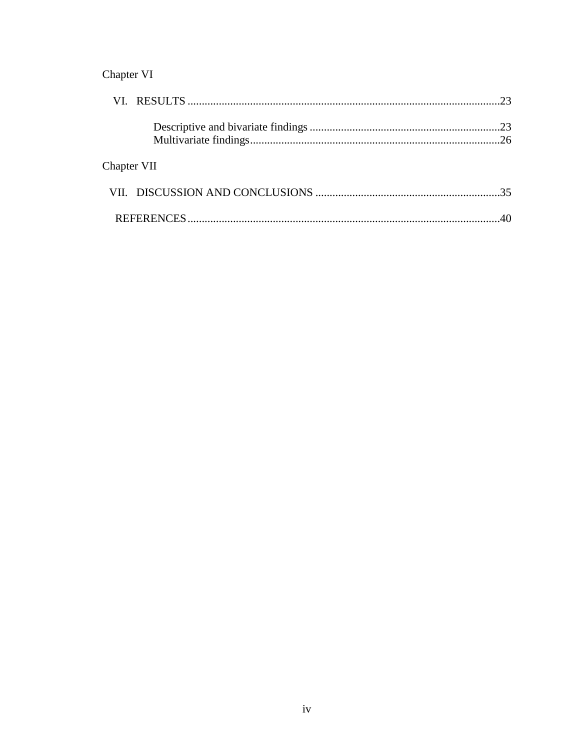# Chapter VI

| Chapter VII |  |
|-------------|--|
|             |  |
|             |  |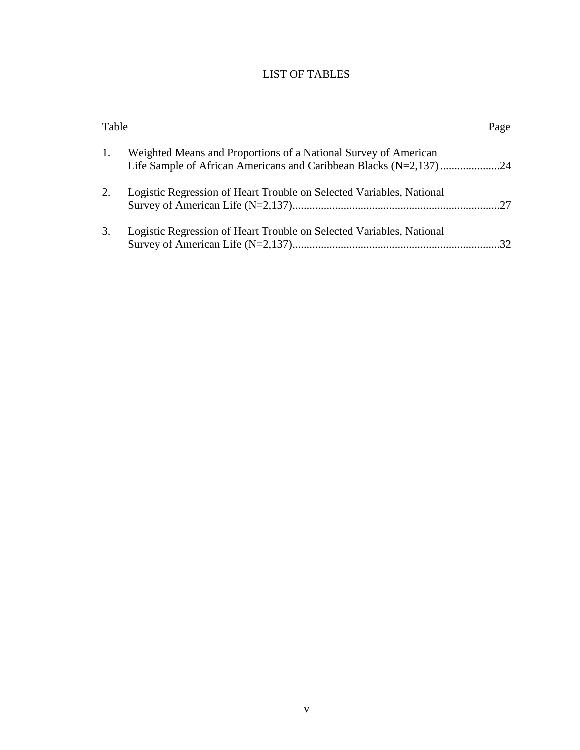# LIST OF TABLES

| Table |                                                                      | Page |
|-------|----------------------------------------------------------------------|------|
| 1.    | Weighted Means and Proportions of a National Survey of American      |      |
| 2.    | Logistic Regression of Heart Trouble on Selected Variables, National |      |
| 3.    | Logistic Regression of Heart Trouble on Selected Variables, National |      |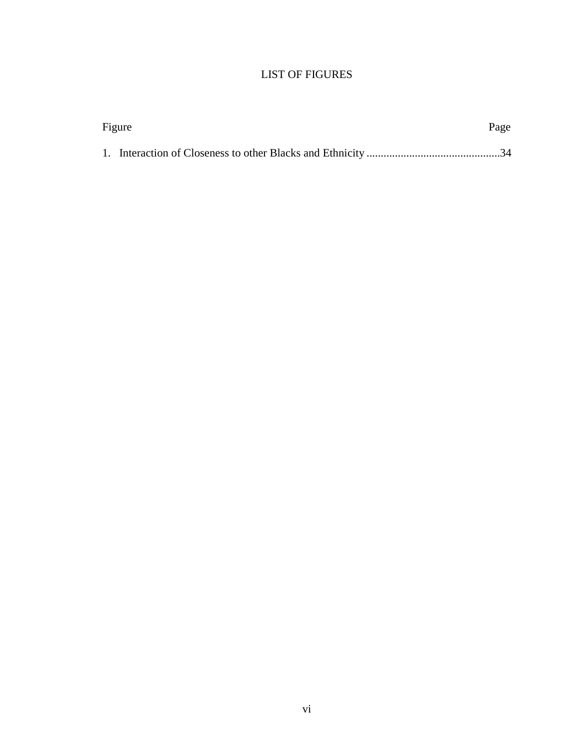# LIST OF FIGURES

| Figure | Page |
|--------|------|
|        |      |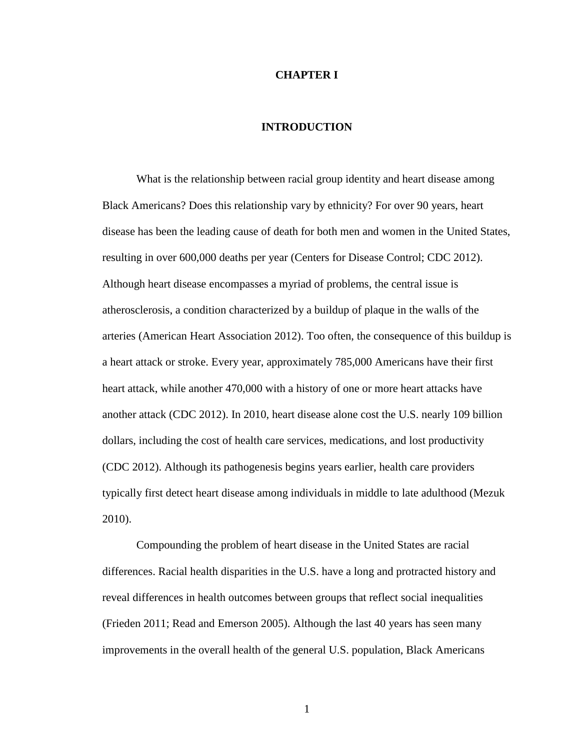#### **CHAPTER I**

## **INTRODUCTION**

What is the relationship between racial group identity and heart disease among Black Americans? Does this relationship vary by ethnicity? For over 90 years, heart disease has been the leading cause of death for both men and women in the United States, resulting in over 600,000 deaths per year (Centers for Disease Control; CDC 2012). Although heart disease encompasses a myriad of problems, the central issue is atherosclerosis, a condition characterized by a buildup of plaque in the walls of the arteries (American Heart Association 2012). Too often, the consequence of this buildup is a heart attack or stroke. Every year, approximately 785,000 Americans have their first heart attack, while another 470,000 with a history of one or more heart attacks have another attack (CDC 2012). In 2010, heart disease alone cost the U.S. nearly 109 billion dollars, including the cost of health care services, medications, and lost productivity (CDC 2012). Although its pathogenesis begins years earlier, health care providers typically first detect heart disease among individuals in middle to late adulthood (Mezuk 2010).

Compounding the problem of heart disease in the United States are racial differences. Racial health disparities in the U.S. have a long and protracted history and reveal differences in health outcomes between groups that reflect social inequalities (Frieden 2011; Read and Emerson 2005). Although the last 40 years has seen many improvements in the overall health of the general U.S. population, Black Americans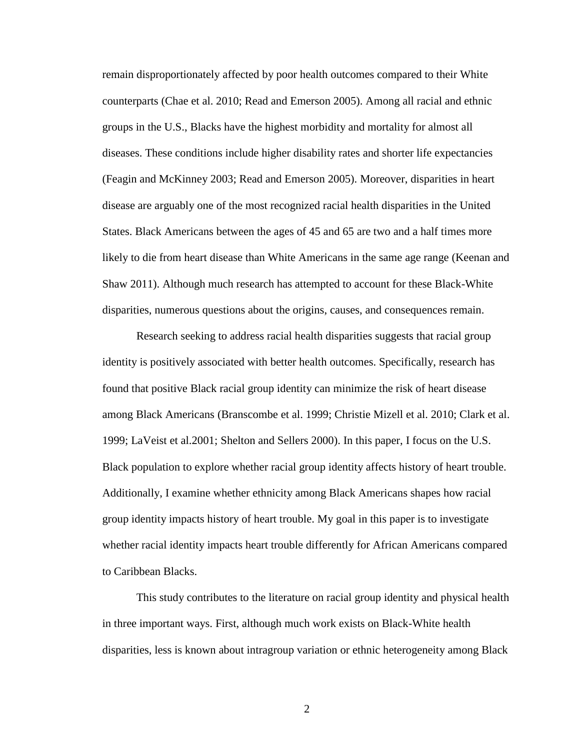remain disproportionately affected by poor health outcomes compared to their White counterparts (Chae et al. 2010; Read and Emerson 2005). Among all racial and ethnic groups in the U.S., Blacks have the highest morbidity and mortality for almost all diseases. These conditions include higher disability rates and shorter life expectancies (Feagin and McKinney 2003; Read and Emerson 2005). Moreover, disparities in heart disease are arguably one of the most recognized racial health disparities in the United States. Black Americans between the ages of 45 and 65 are two and a half times more likely to die from heart disease than White Americans in the same age range (Keenan and Shaw 2011). Although much research has attempted to account for these Black-White disparities, numerous questions about the origins, causes, and consequences remain.

Research seeking to address racial health disparities suggests that racial group identity is positively associated with better health outcomes. Specifically, research has found that positive Black racial group identity can minimize the risk of heart disease among Black Americans (Branscombe et al. 1999; Christie Mizell et al. 2010; Clark et al. 1999; LaVeist et al.2001; Shelton and Sellers 2000). In this paper, I focus on the U.S. Black population to explore whether racial group identity affects history of heart trouble. Additionally, I examine whether ethnicity among Black Americans shapes how racial group identity impacts history of heart trouble. My goal in this paper is to investigate whether racial identity impacts heart trouble differently for African Americans compared to Caribbean Blacks.

This study contributes to the literature on racial group identity and physical health in three important ways. First, although much work exists on Black-White health disparities, less is known about intragroup variation or ethnic heterogeneity among Black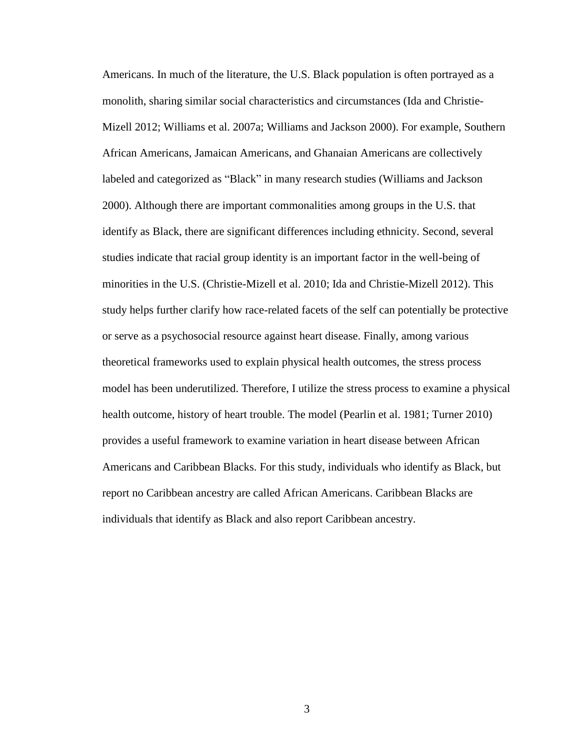Americans. In much of the literature, the U.S. Black population is often portrayed as a monolith, sharing similar social characteristics and circumstances (Ida and Christie-Mizell 2012; Williams et al. 2007a; Williams and Jackson 2000). For example, Southern African Americans, Jamaican Americans, and Ghanaian Americans are collectively labeled and categorized as "Black" in many research studies (Williams and Jackson 2000). Although there are important commonalities among groups in the U.S. that identify as Black, there are significant differences including ethnicity. Second, several studies indicate that racial group identity is an important factor in the well-being of minorities in the U.S. (Christie-Mizell et al. 2010; Ida and Christie-Mizell 2012). This study helps further clarify how race-related facets of the self can potentially be protective or serve as a psychosocial resource against heart disease. Finally, among various theoretical frameworks used to explain physical health outcomes, the stress process model has been underutilized. Therefore, I utilize the stress process to examine a physical health outcome, history of heart trouble. The model (Pearlin et al. 1981; Turner 2010) provides a useful framework to examine variation in heart disease between African Americans and Caribbean Blacks. For this study, individuals who identify as Black, but report no Caribbean ancestry are called African Americans. Caribbean Blacks are individuals that identify as Black and also report Caribbean ancestry.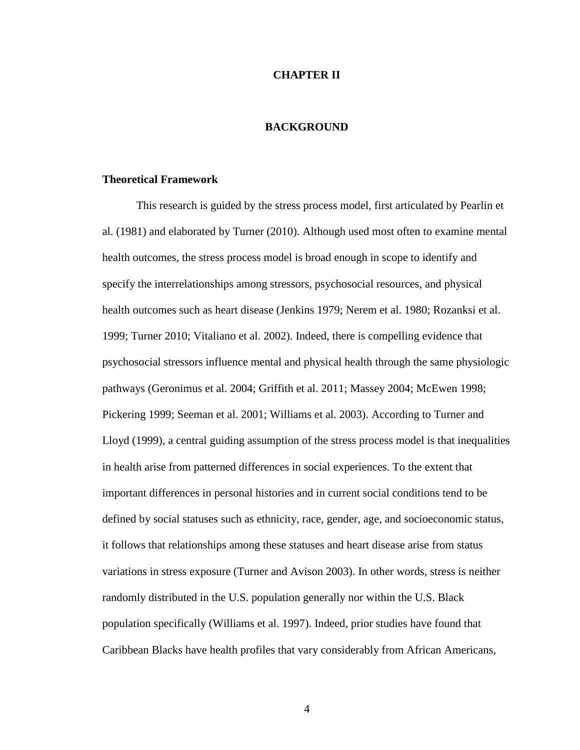#### **CHAPTER II**

#### **BACKGROUND**

#### **Theoretical Framework**

This research is guided by the stress process model, first articulated by Pearlin et al. (1981) and elaborated by Turner (2010). Although used most often to examine mental health outcomes, the stress process model is broad enough in scope to identify and specify the interrelationships among stressors, psychosocial resources, and physical health outcomes such as heart disease (Jenkins 1979; Nerem et al. 1980; Rozanksi et al. 1999; Turner 2010; Vitaliano et al. 2002). Indeed, there is compelling evidence that psychosocial stressors influence mental and physical health through the same physiologic pathways (Geronimus et al. 2004; Griffith et al. 2011; Massey 2004; McEwen 1998; Pickering 1999; Seeman et al. 2001; Williams et al. 2003). According to Turner and Lloyd (1999), a central guiding assumption of the stress process model is that inequalities in health arise from patterned differences in social experiences. To the extent that important differences in personal histories and in current social conditions tend to be defined by social statuses such as ethnicity, race, gender, age, and socioeconomic status, it follows that relationships among these statuses and heart disease arise from status variations in stress exposure (Turner and Avison 2003). In other words, stress is neither randomly distributed in the U.S. population generally nor within the U.S. Black population specifically (Williams et al. 1997). Indeed, prior studies have found that Caribbean Blacks have health profiles that vary considerably from African Americans,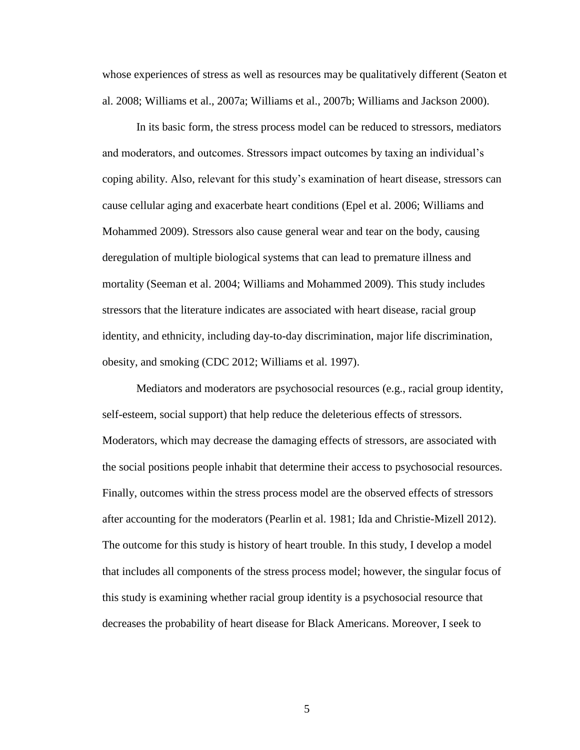whose experiences of stress as well as resources may be qualitatively different (Seaton et al. 2008; Williams et al., 2007a; Williams et al., 2007b; Williams and Jackson 2000).

In its basic form, the stress process model can be reduced to stressors, mediators and moderators, and outcomes. Stressors impact outcomes by taxing an individual's coping ability. Also, relevant for this study's examination of heart disease, stressors can cause cellular aging and exacerbate heart conditions (Epel et al. 2006; Williams and Mohammed 2009). Stressors also cause general wear and tear on the body, causing deregulation of multiple biological systems that can lead to premature illness and mortality (Seeman et al. 2004; Williams and Mohammed 2009). This study includes stressors that the literature indicates are associated with heart disease, racial group identity, and ethnicity, including day-to-day discrimination, major life discrimination, obesity, and smoking (CDC 2012; Williams et al. 1997).

Mediators and moderators are psychosocial resources (e.g., racial group identity, self-esteem, social support) that help reduce the deleterious effects of stressors. Moderators, which may decrease the damaging effects of stressors, are associated with the social positions people inhabit that determine their access to psychosocial resources. Finally, outcomes within the stress process model are the observed effects of stressors after accounting for the moderators (Pearlin et al. 1981; Ida and Christie-Mizell 2012). The outcome for this study is history of heart trouble. In this study, I develop a model that includes all components of the stress process model; however, the singular focus of this study is examining whether racial group identity is a psychosocial resource that decreases the probability of heart disease for Black Americans. Moreover, I seek to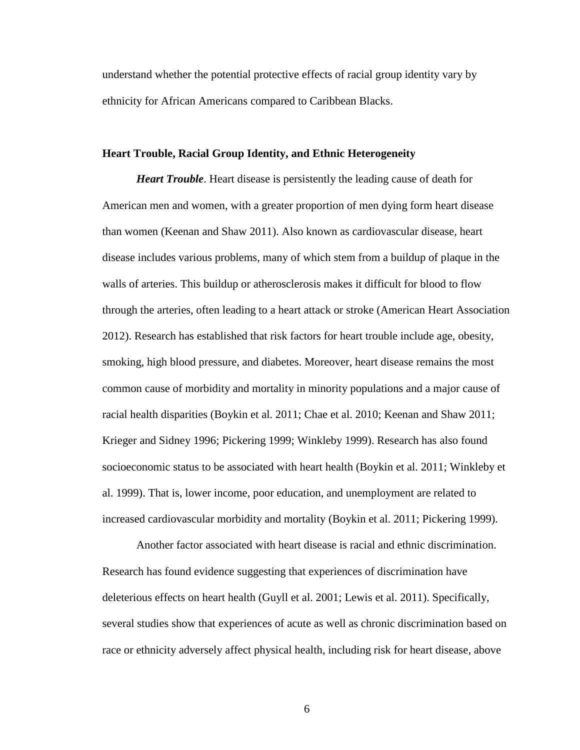understand whether the potential protective effects of racial group identity vary by ethnicity for African Americans compared to Caribbean Blacks.

#### **Heart Trouble, Racial Group Identity, and Ethnic Heterogeneity**

*Heart Trouble*. Heart disease is persistently the leading cause of death for American men and women, with a greater proportion of men dying form heart disease than women (Keenan and Shaw 2011). Also known as cardiovascular disease, heart disease includes various problems, many of which stem from a buildup of plaque in the walls of arteries. This buildup or atherosclerosis makes it difficult for blood to flow through the arteries, often leading to a heart attack or stroke (American Heart Association 2012). Research has established that risk factors for heart trouble include age, obesity, smoking, high blood pressure, and diabetes. Moreover, heart disease remains the most common cause of morbidity and mortality in minority populations and a major cause of racial health disparities (Boykin et al. 2011; Chae et al. 2010; Keenan and Shaw 2011; Krieger and Sidney 1996; Pickering 1999; Winkleby 1999). Research has also found socioeconomic status to be associated with heart health (Boykin et al. 2011; Winkleby et al. 1999). That is, lower income, poor education, and unemployment are related to increased cardiovascular morbidity and mortality (Boykin et al. 2011; Pickering 1999).

Another factor associated with heart disease is racial and ethnic discrimination. Research has found evidence suggesting that experiences of discrimination have deleterious effects on heart health (Guyll et al. 2001; Lewis et al. 2011). Specifically, several studies show that experiences of acute as well as chronic discrimination based on race or ethnicity adversely affect physical health, including risk for heart disease, above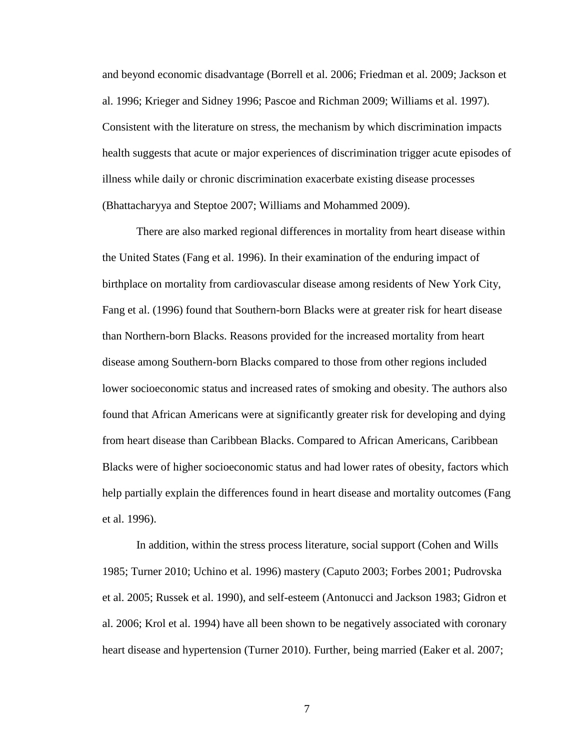and beyond economic disadvantage (Borrell et al. 2006; Friedman et al. 2009; Jackson et al. 1996; Krieger and Sidney 1996; Pascoe and Richman 2009; Williams et al. 1997). Consistent with the literature on stress, the mechanism by which discrimination impacts health suggests that acute or major experiences of discrimination trigger acute episodes of illness while daily or chronic discrimination exacerbate existing disease processes (Bhattacharyya and Steptoe 2007; Williams and Mohammed 2009).

There are also marked regional differences in mortality from heart disease within the United States (Fang et al. 1996). In their examination of the enduring impact of birthplace on mortality from cardiovascular disease among residents of New York City, Fang et al. (1996) found that Southern-born Blacks were at greater risk for heart disease than Northern-born Blacks. Reasons provided for the increased mortality from heart disease among Southern-born Blacks compared to those from other regions included lower socioeconomic status and increased rates of smoking and obesity. The authors also found that African Americans were at significantly greater risk for developing and dying from heart disease than Caribbean Blacks. Compared to African Americans, Caribbean Blacks were of higher socioeconomic status and had lower rates of obesity, factors which help partially explain the differences found in heart disease and mortality outcomes (Fang et al. 1996).

In addition, within the stress process literature, social support (Cohen and Wills 1985; Turner 2010; Uchino et al. 1996) mastery (Caputo 2003; Forbes 2001; Pudrovska et al. 2005; Russek et al. 1990), and self-esteem (Antonucci and Jackson 1983; Gidron et al. 2006; Krol et al. 1994) have all been shown to be negatively associated with coronary heart disease and hypertension (Turner 2010). Further, being married (Eaker et al. 2007;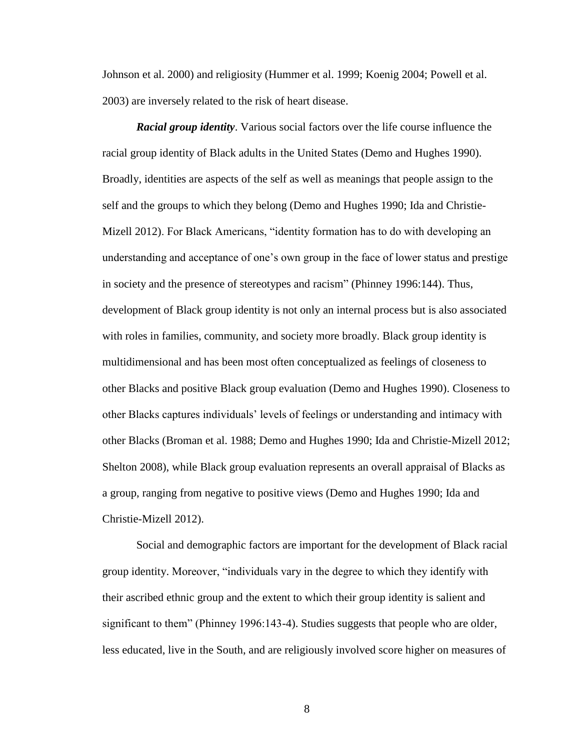Johnson et al. 2000) and religiosity (Hummer et al. 1999; Koenig 2004; Powell et al. 2003) are inversely related to the risk of heart disease.

*Racial group identity*. Various social factors over the life course influence the racial group identity of Black adults in the United States (Demo and Hughes 1990). Broadly, identities are aspects of the self as well as meanings that people assign to the self and the groups to which they belong (Demo and Hughes 1990; Ida and Christie-Mizell 2012). For Black Americans, "identity formation has to do with developing an understanding and acceptance of one's own group in the face of lower status and prestige in society and the presence of stereotypes and racism" (Phinney 1996:144). Thus, development of Black group identity is not only an internal process but is also associated with roles in families, community, and society more broadly. Black group identity is multidimensional and has been most often conceptualized as feelings of closeness to other Blacks and positive Black group evaluation (Demo and Hughes 1990). Closeness to other Blacks captures individuals' levels of feelings or understanding and intimacy with other Blacks (Broman et al. 1988; Demo and Hughes 1990; Ida and Christie-Mizell 2012; Shelton 2008), while Black group evaluation represents an overall appraisal of Blacks as a group, ranging from negative to positive views (Demo and Hughes 1990; Ida and Christie-Mizell 2012).

Social and demographic factors are important for the development of Black racial group identity. Moreover, "individuals vary in the degree to which they identify with their ascribed ethnic group and the extent to which their group identity is salient and significant to them" (Phinney 1996:143-4). Studies suggests that people who are older, less educated, live in the South, and are religiously involved score higher on measures of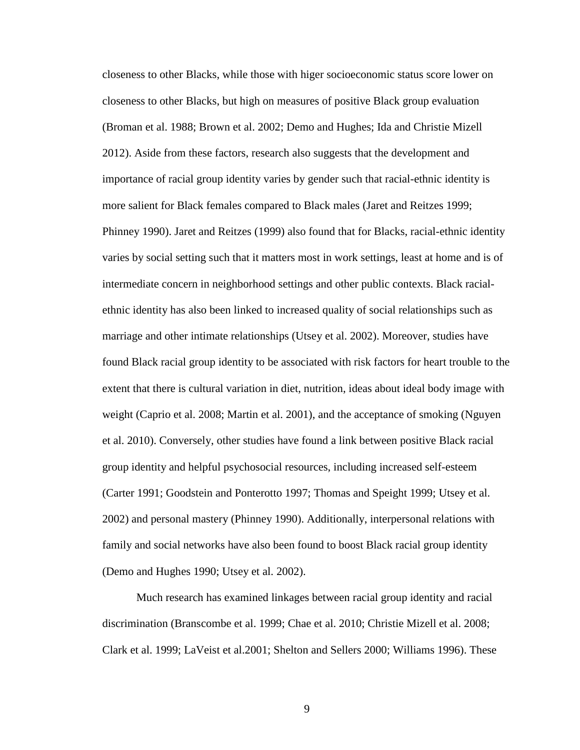closeness to other Blacks, while those with higer socioeconomic status score lower on closeness to other Blacks, but high on measures of positive Black group evaluation (Broman et al. 1988; Brown et al. 2002; Demo and Hughes; Ida and Christie Mizell 2012). Aside from these factors, research also suggests that the development and importance of racial group identity varies by gender such that racial-ethnic identity is more salient for Black females compared to Black males (Jaret and Reitzes 1999; Phinney 1990). Jaret and Reitzes (1999) also found that for Blacks, racial-ethnic identity varies by social setting such that it matters most in work settings, least at home and is of intermediate concern in neighborhood settings and other public contexts. Black racialethnic identity has also been linked to increased quality of social relationships such as marriage and other intimate relationships (Utsey et al. 2002). Moreover, studies have found Black racial group identity to be associated with risk factors for heart trouble to the extent that there is cultural variation in diet, nutrition, ideas about ideal body image with weight (Caprio et al. 2008; Martin et al. 2001), and the acceptance of smoking (Nguyen et al. 2010). Conversely, other studies have found a link between positive Black racial group identity and helpful psychosocial resources, including increased self-esteem (Carter 1991; Goodstein and Ponterotto 1997; Thomas and Speight 1999; Utsey et al. 2002) and personal mastery (Phinney 1990). Additionally, interpersonal relations with family and social networks have also been found to boost Black racial group identity (Demo and Hughes 1990; Utsey et al. 2002).

Much research has examined linkages between racial group identity and racial discrimination (Branscombe et al. 1999; Chae et al. 2010; Christie Mizell et al. 2008; Clark et al. 1999; LaVeist et al.2001; Shelton and Sellers 2000; Williams 1996). These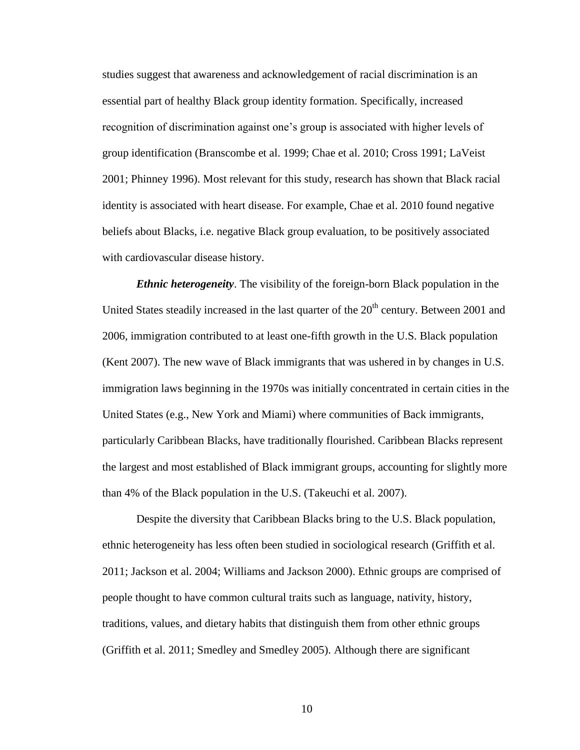studies suggest that awareness and acknowledgement of racial discrimination is an essential part of healthy Black group identity formation. Specifically, increased recognition of discrimination against one's group is associated with higher levels of group identification (Branscombe et al. 1999; Chae et al. 2010; Cross 1991; LaVeist 2001; Phinney 1996). Most relevant for this study, research has shown that Black racial identity is associated with heart disease. For example, Chae et al. 2010 found negative beliefs about Blacks, i.e. negative Black group evaluation, to be positively associated with cardiovascular disease history.

*Ethnic heterogeneity*. The visibility of the foreign-born Black population in the United States steadily increased in the last quarter of the 20<sup>th</sup> century. Between 2001 and 2006, immigration contributed to at least one-fifth growth in the U.S. Black population (Kent 2007). The new wave of Black immigrants that was ushered in by changes in U.S. immigration laws beginning in the 1970s was initially concentrated in certain cities in the United States (e.g., New York and Miami) where communities of Back immigrants, particularly Caribbean Blacks, have traditionally flourished. Caribbean Blacks represent the largest and most established of Black immigrant groups, accounting for slightly more than 4% of the Black population in the U.S. (Takeuchi et al. 2007).

Despite the diversity that Caribbean Blacks bring to the U.S. Black population, ethnic heterogeneity has less often been studied in sociological research (Griffith et al. 2011; Jackson et al. 2004; Williams and Jackson 2000). Ethnic groups are comprised of people thought to have common cultural traits such as language, nativity, history, traditions, values, and dietary habits that distinguish them from other ethnic groups (Griffith et al. 2011; Smedley and Smedley 2005). Although there are significant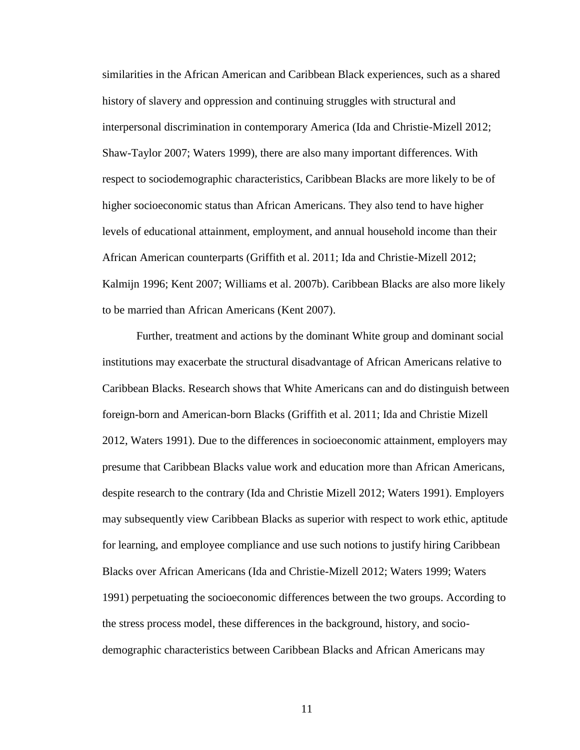similarities in the African American and Caribbean Black experiences, such as a shared history of slavery and oppression and continuing struggles with structural and interpersonal discrimination in contemporary America (Ida and Christie-Mizell 2012; Shaw-Taylor 2007; Waters 1999), there are also many important differences. With respect to sociodemographic characteristics, Caribbean Blacks are more likely to be of higher socioeconomic status than African Americans. They also tend to have higher levels of educational attainment, employment, and annual household income than their African American counterparts (Griffith et al. 2011; Ida and Christie-Mizell 2012; Kalmijn 1996; Kent 2007; Williams et al. 2007b). Caribbean Blacks are also more likely to be married than African Americans (Kent 2007).

Further, treatment and actions by the dominant White group and dominant social institutions may exacerbate the structural disadvantage of African Americans relative to Caribbean Blacks. Research shows that White Americans can and do distinguish between foreign-born and American-born Blacks (Griffith et al. 2011; Ida and Christie Mizell 2012, Waters 1991). Due to the differences in socioeconomic attainment, employers may presume that Caribbean Blacks value work and education more than African Americans, despite research to the contrary (Ida and Christie Mizell 2012; Waters 1991). Employers may subsequently view Caribbean Blacks as superior with respect to work ethic, aptitude for learning, and employee compliance and use such notions to justify hiring Caribbean Blacks over African Americans (Ida and Christie-Mizell 2012; Waters 1999; Waters 1991) perpetuating the socioeconomic differences between the two groups. According to the stress process model, these differences in the background, history, and sociodemographic characteristics between Caribbean Blacks and African Americans may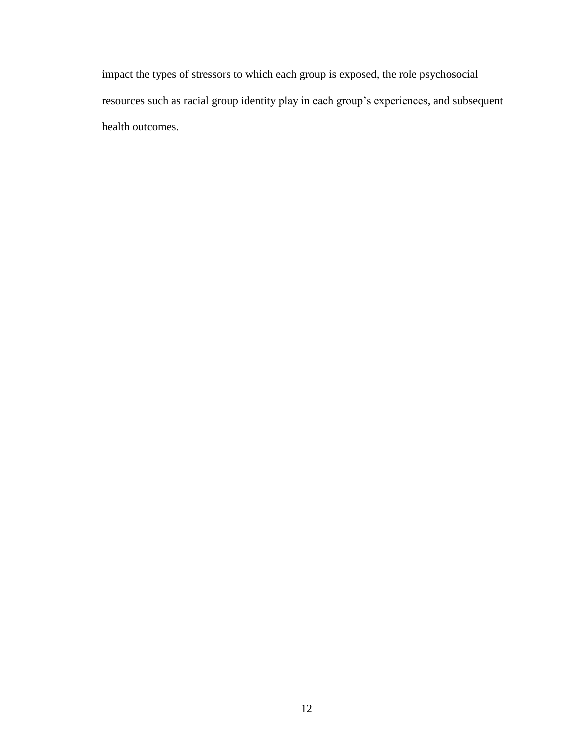impact the types of stressors to which each group is exposed, the role psychosocial resources such as racial group identity play in each group's experiences, and subsequent health outcomes.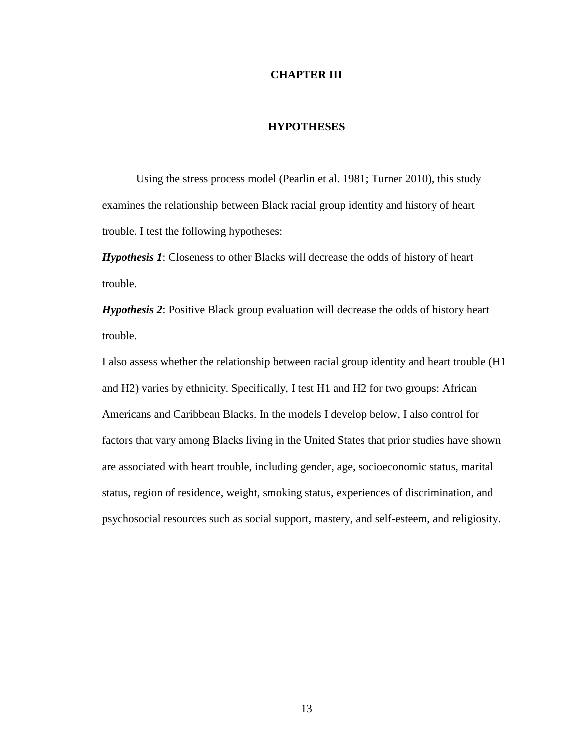#### **CHAPTER III**

### **HYPOTHESES**

Using the stress process model (Pearlin et al. 1981; Turner 2010), this study examines the relationship between Black racial group identity and history of heart trouble. I test the following hypotheses:

*Hypothesis 1*: Closeness to other Blacks will decrease the odds of history of heart trouble.

*Hypothesis 2*: Positive Black group evaluation will decrease the odds of history heart trouble.

I also assess whether the relationship between racial group identity and heart trouble (H1 and H2) varies by ethnicity. Specifically, I test H1 and H2 for two groups: African Americans and Caribbean Blacks. In the models I develop below, I also control for factors that vary among Blacks living in the United States that prior studies have shown are associated with heart trouble, including gender, age, socioeconomic status, marital status, region of residence, weight, smoking status, experiences of discrimination, and psychosocial resources such as social support, mastery, and self-esteem, and religiosity.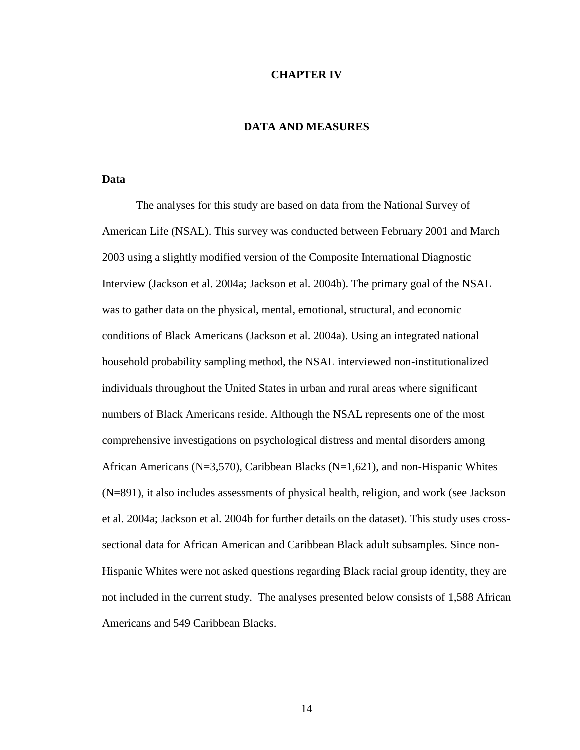#### **CHAPTER IV**

# **DATA AND MEASURES**

#### **Data**

The analyses for this study are based on data from the National Survey of American Life (NSAL). This survey was conducted between February 2001 and March 2003 using a slightly modified version of the Composite International Diagnostic Interview (Jackson et al. 2004a; Jackson et al. 2004b). The primary goal of the NSAL was to gather data on the physical, mental, emotional, structural, and economic conditions of Black Americans (Jackson et al. 2004a). Using an integrated national household probability sampling method, the NSAL interviewed non-institutionalized individuals throughout the United States in urban and rural areas where significant numbers of Black Americans reside. Although the NSAL represents one of the most comprehensive investigations on psychological distress and mental disorders among African Americans ( $N=3,570$ ), Caribbean Blacks ( $N=1,621$ ), and non-Hispanic Whites (N=891), it also includes assessments of physical health, religion, and work (see Jackson et al. 2004a; Jackson et al. 2004b for further details on the dataset). This study uses crosssectional data for African American and Caribbean Black adult subsamples. Since non-Hispanic Whites were not asked questions regarding Black racial group identity, they are not included in the current study. The analyses presented below consists of 1,588 African Americans and 549 Caribbean Blacks.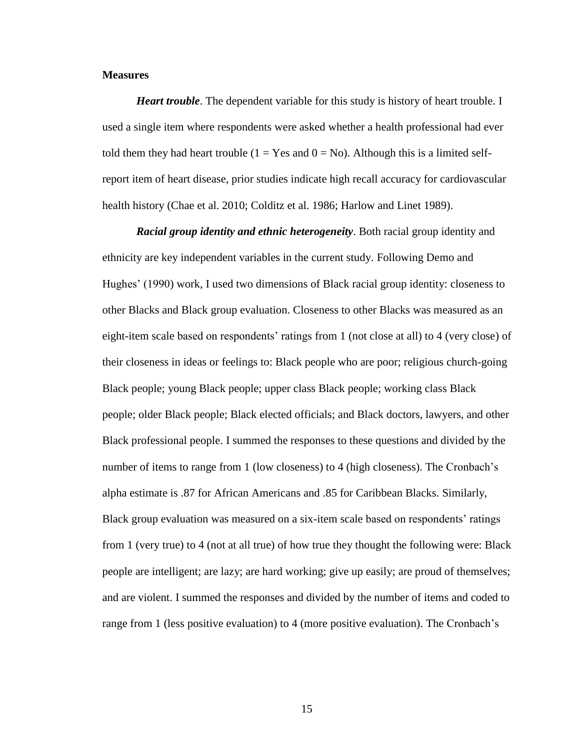#### **Measures**

*Heart trouble*. The dependent variable for this study is history of heart trouble. I used a single item where respondents were asked whether a health professional had ever told them they had heart trouble  $(1 = Yes \text{ and } 0 = No)$ . Although this is a limited selfreport item of heart disease, prior studies indicate high recall accuracy for cardiovascular health history (Chae et al. 2010; Colditz et al. 1986; Harlow and Linet 1989).

*Racial group identity and ethnic heterogeneity*. Both racial group identity and ethnicity are key independent variables in the current study. Following Demo and Hughes' (1990) work, I used two dimensions of Black racial group identity: closeness to other Blacks and Black group evaluation. Closeness to other Blacks was measured as an eight-item scale based on respondents' ratings from 1 (not close at all) to 4 (very close) of their closeness in ideas or feelings to: Black people who are poor; religious church-going Black people; young Black people; upper class Black people; working class Black people; older Black people; Black elected officials; and Black doctors, lawyers, and other Black professional people. I summed the responses to these questions and divided by the number of items to range from 1 (low closeness) to 4 (high closeness). The Cronbach's alpha estimate is .87 for African Americans and .85 for Caribbean Blacks. Similarly, Black group evaluation was measured on a six-item scale based on respondents' ratings from 1 (very true) to 4 (not at all true) of how true they thought the following were: Black people are intelligent; are lazy; are hard working; give up easily; are proud of themselves; and are violent. I summed the responses and divided by the number of items and coded to range from 1 (less positive evaluation) to 4 (more positive evaluation). The Cronbach's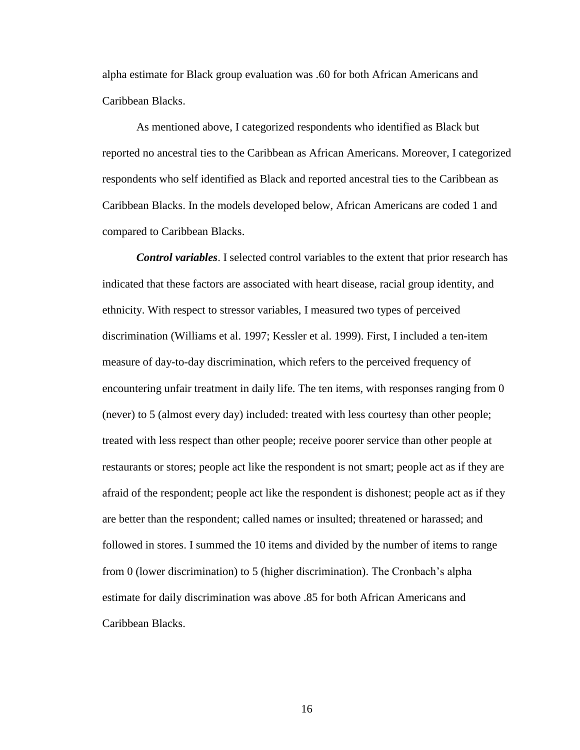alpha estimate for Black group evaluation was .60 for both African Americans and Caribbean Blacks.

As mentioned above, I categorized respondents who identified as Black but reported no ancestral ties to the Caribbean as African Americans. Moreover, I categorized respondents who self identified as Black and reported ancestral ties to the Caribbean as Caribbean Blacks. In the models developed below, African Americans are coded 1 and compared to Caribbean Blacks.

*Control variables*. I selected control variables to the extent that prior research has indicated that these factors are associated with heart disease, racial group identity, and ethnicity. With respect to stressor variables, I measured two types of perceived discrimination (Williams et al. 1997; Kessler et al. 1999). First, I included a ten-item measure of day-to-day discrimination, which refers to the perceived frequency of encountering unfair treatment in daily life. The ten items, with responses ranging from 0 (never) to 5 (almost every day) included: treated with less courtesy than other people; treated with less respect than other people; receive poorer service than other people at restaurants or stores; people act like the respondent is not smart; people act as if they are afraid of the respondent; people act like the respondent is dishonest; people act as if they are better than the respondent; called names or insulted; threatened or harassed; and followed in stores. I summed the 10 items and divided by the number of items to range from 0 (lower discrimination) to 5 (higher discrimination). The Cronbach's alpha estimate for daily discrimination was above .85 for both African Americans and Caribbean Blacks.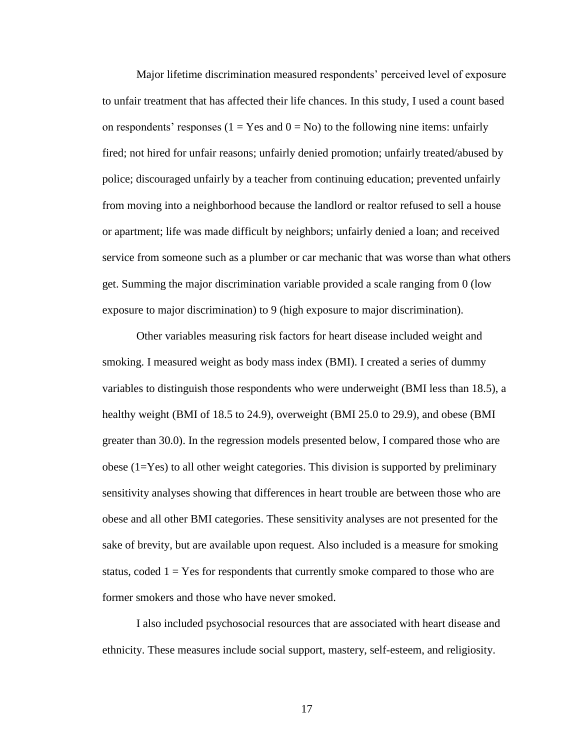Major lifetime discrimination measured respondents' perceived level of exposure to unfair treatment that has affected their life chances. In this study, I used a count based on respondents' responses ( $1 = Yes$  and  $0 = No$ ) to the following nine items: unfairly fired; not hired for unfair reasons; unfairly denied promotion; unfairly treated/abused by police; discouraged unfairly by a teacher from continuing education; prevented unfairly from moving into a neighborhood because the landlord or realtor refused to sell a house or apartment; life was made difficult by neighbors; unfairly denied a loan; and received service from someone such as a plumber or car mechanic that was worse than what others get. Summing the major discrimination variable provided a scale ranging from 0 (low exposure to major discrimination) to 9 (high exposure to major discrimination).

Other variables measuring risk factors for heart disease included weight and smoking. I measured weight as body mass index (BMI). I created a series of dummy variables to distinguish those respondents who were underweight (BMI less than 18.5), a healthy weight (BMI of 18.5 to 24.9), overweight (BMI 25.0 to 29.9), and obese (BMI greater than 30.0). In the regression models presented below, I compared those who are obese (1=Yes) to all other weight categories. This division is supported by preliminary sensitivity analyses showing that differences in heart trouble are between those who are obese and all other BMI categories. These sensitivity analyses are not presented for the sake of brevity, but are available upon request. Also included is a measure for smoking status, coded  $1 = Yes$  for respondents that currently smoke compared to those who are former smokers and those who have never smoked.

I also included psychosocial resources that are associated with heart disease and ethnicity. These measures include social support, mastery, self-esteem, and religiosity.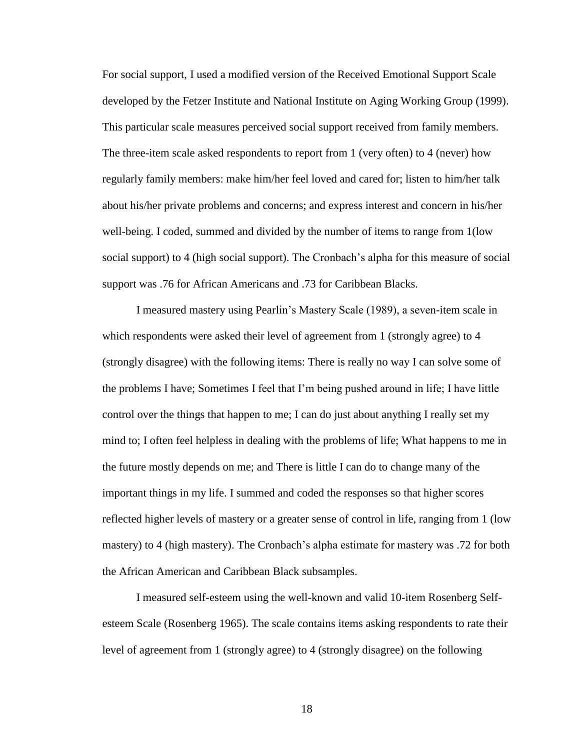For social support, I used a modified version of the Received Emotional Support Scale developed by the Fetzer Institute and National Institute on Aging Working Group (1999). This particular scale measures perceived social support received from family members. The three-item scale asked respondents to report from 1 (very often) to 4 (never) how regularly family members: make him/her feel loved and cared for; listen to him/her talk about his/her private problems and concerns; and express interest and concern in his/her well-being. I coded, summed and divided by the number of items to range from 1(low social support) to 4 (high social support). The Cronbach's alpha for this measure of social support was .76 for African Americans and .73 for Caribbean Blacks.

I measured mastery using Pearlin's Mastery Scale (1989), a seven-item scale in which respondents were asked their level of agreement from 1 (strongly agree) to 4 (strongly disagree) with the following items: There is really no way I can solve some of the problems I have; Sometimes I feel that I'm being pushed around in life; I have little control over the things that happen to me; I can do just about anything I really set my mind to; I often feel helpless in dealing with the problems of life; What happens to me in the future mostly depends on me; and There is little I can do to change many of the important things in my life. I summed and coded the responses so that higher scores reflected higher levels of mastery or a greater sense of control in life, ranging from 1 (low mastery) to 4 (high mastery). The Cronbach's alpha estimate for mastery was .72 for both the African American and Caribbean Black subsamples.

I measured self-esteem using the well-known and valid 10-item Rosenberg Selfesteem Scale (Rosenberg 1965). The scale contains items asking respondents to rate their level of agreement from 1 (strongly agree) to 4 (strongly disagree) on the following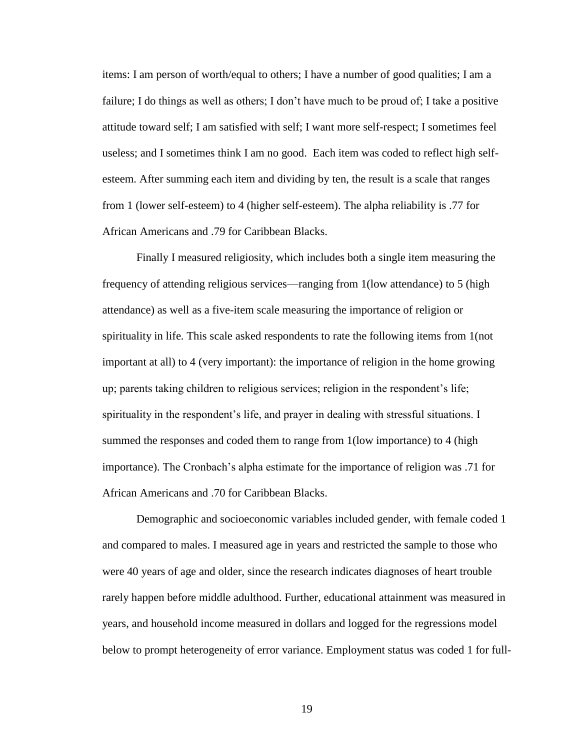items: I am person of worth/equal to others; I have a number of good qualities; I am a failure; I do things as well as others; I don't have much to be proud of; I take a positive attitude toward self; I am satisfied with self; I want more self-respect; I sometimes feel useless; and I sometimes think I am no good. Each item was coded to reflect high selfesteem. After summing each item and dividing by ten, the result is a scale that ranges from 1 (lower self-esteem) to 4 (higher self-esteem). The alpha reliability is .77 for African Americans and .79 for Caribbean Blacks.

Finally I measured religiosity, which includes both a single item measuring the frequency of attending religious services—ranging from 1(low attendance) to 5 (high attendance) as well as a five-item scale measuring the importance of religion or spirituality in life. This scale asked respondents to rate the following items from 1(not important at all) to 4 (very important): the importance of religion in the home growing up; parents taking children to religious services; religion in the respondent's life; spirituality in the respondent's life, and prayer in dealing with stressful situations. I summed the responses and coded them to range from 1 (low importance) to 4 (high importance). The Cronbach's alpha estimate for the importance of religion was .71 for African Americans and .70 for Caribbean Blacks.

Demographic and socioeconomic variables included gender, with female coded 1 and compared to males. I measured age in years and restricted the sample to those who were 40 years of age and older, since the research indicates diagnoses of heart trouble rarely happen before middle adulthood. Further, educational attainment was measured in years, and household income measured in dollars and logged for the regressions model below to prompt heterogeneity of error variance. Employment status was coded 1 for full-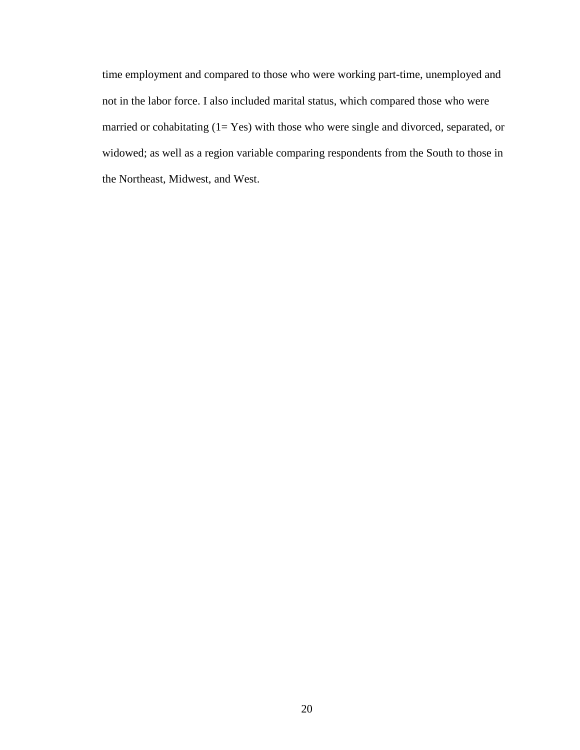time employment and compared to those who were working part-time, unemployed and not in the labor force. I also included marital status, which compared those who were married or cohabitating  $(1= Yes)$  with those who were single and divorced, separated, or widowed; as well as a region variable comparing respondents from the South to those in the Northeast, Midwest, and West.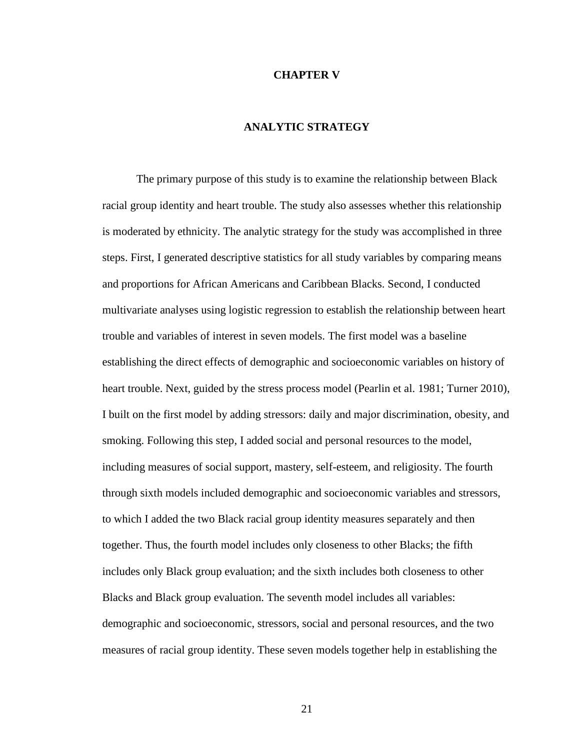#### **CHAPTER V**

# **ANALYTIC STRATEGY**

The primary purpose of this study is to examine the relationship between Black racial group identity and heart trouble. The study also assesses whether this relationship is moderated by ethnicity. The analytic strategy for the study was accomplished in three steps. First, I generated descriptive statistics for all study variables by comparing means and proportions for African Americans and Caribbean Blacks. Second, I conducted multivariate analyses using logistic regression to establish the relationship between heart trouble and variables of interest in seven models. The first model was a baseline establishing the direct effects of demographic and socioeconomic variables on history of heart trouble. Next, guided by the stress process model (Pearlin et al. 1981; Turner 2010), I built on the first model by adding stressors: daily and major discrimination, obesity, and smoking. Following this step, I added social and personal resources to the model, including measures of social support, mastery, self-esteem, and religiosity. The fourth through sixth models included demographic and socioeconomic variables and stressors, to which I added the two Black racial group identity measures separately and then together. Thus, the fourth model includes only closeness to other Blacks; the fifth includes only Black group evaluation; and the sixth includes both closeness to other Blacks and Black group evaluation. The seventh model includes all variables: demographic and socioeconomic, stressors, social and personal resources, and the two measures of racial group identity. These seven models together help in establishing the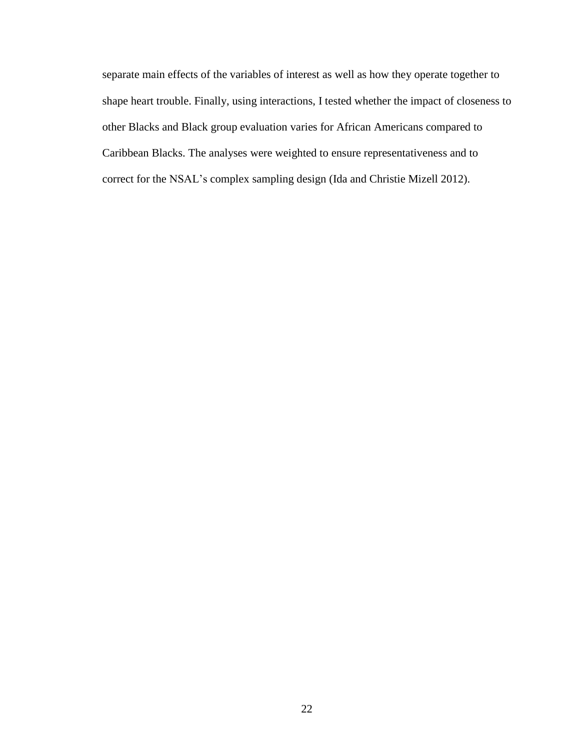separate main effects of the variables of interest as well as how they operate together to shape heart trouble. Finally, using interactions, I tested whether the impact of closeness to other Blacks and Black group evaluation varies for African Americans compared to Caribbean Blacks. The analyses were weighted to ensure representativeness and to correct for the NSAL's complex sampling design (Ida and Christie Mizell 2012).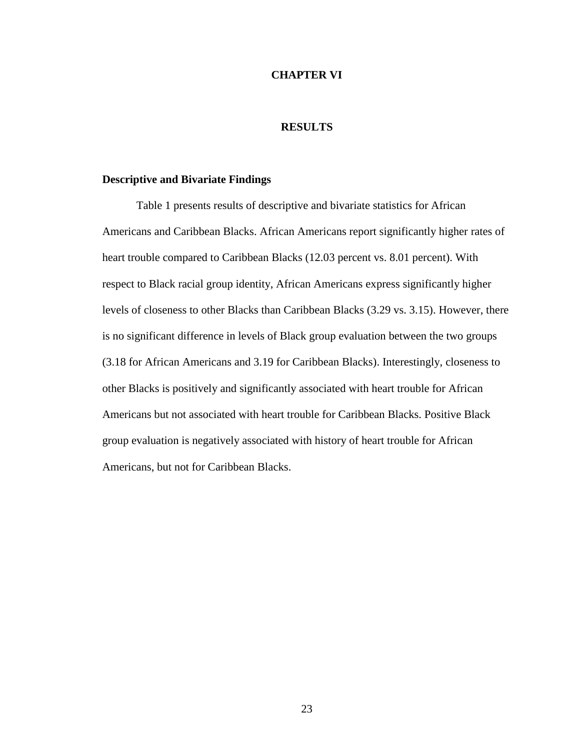#### **CHAPTER VI**

## **RESULTS**

# **Descriptive and Bivariate Findings**

Table 1 presents results of descriptive and bivariate statistics for African Americans and Caribbean Blacks. African Americans report significantly higher rates of heart trouble compared to Caribbean Blacks (12.03 percent vs. 8.01 percent). With respect to Black racial group identity, African Americans express significantly higher levels of closeness to other Blacks than Caribbean Blacks (3.29 vs. 3.15). However, there is no significant difference in levels of Black group evaluation between the two groups (3.18 for African Americans and 3.19 for Caribbean Blacks). Interestingly, closeness to other Blacks is positively and significantly associated with heart trouble for African Americans but not associated with heart trouble for Caribbean Blacks. Positive Black group evaluation is negatively associated with history of heart trouble for African Americans, but not for Caribbean Blacks.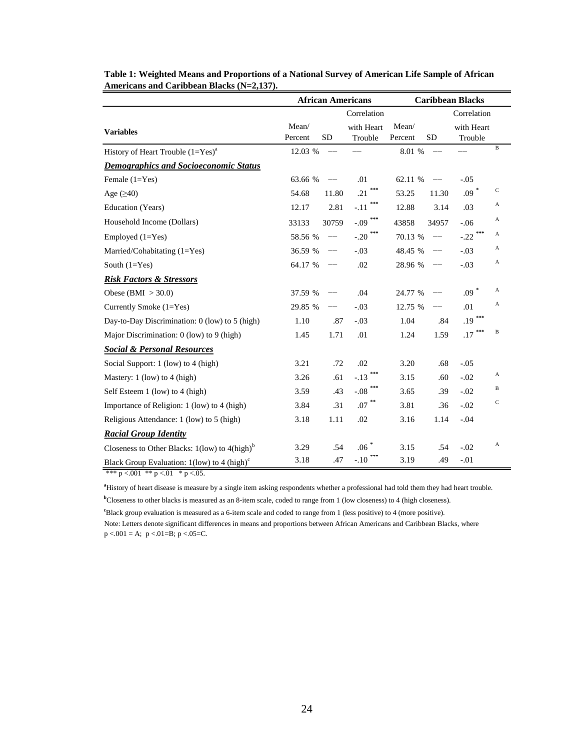|                                                                 | <b>African Americans</b> |                   |                       |                  | <b>Caribbean Blacks</b> |                       |              |  |  |
|-----------------------------------------------------------------|--------------------------|-------------------|-----------------------|------------------|-------------------------|-----------------------|--------------|--|--|
|                                                                 |                          | Correlation       |                       |                  |                         | Correlation           |              |  |  |
| <b>Variables</b>                                                | Mean/<br>Percent         | <b>SD</b>         | with Heart<br>Trouble | Mean/<br>Percent | <b>SD</b>               | with Heart<br>Trouble |              |  |  |
| History of Heart Trouble $(1=Yes)^a$                            | 12.03 %                  | $\qquad \qquad -$ |                       | 8.01 %           |                         |                       | $\, {\bf B}$ |  |  |
| <b>Demographics and Socioeconomic Status</b>                    |                          |                   |                       |                  |                         |                       |              |  |  |
| Female $(1=Yes)$                                                | 63.66 %                  |                   | .01                   | 62.11 %          |                         | $-.05$                |              |  |  |
| Age $(\geq 40)$                                                 | 54.68                    | 11.80             | ***<br>.21            | 53.25            | 11.30                   | $.09*$                | $\mathbf C$  |  |  |
| Education (Years)                                               | 12.17                    | 2.81              | $-.11$                | 12.88            | 3.14                    | .03                   | A            |  |  |
| Household Income (Dollars)                                      | 33133                    | 30759             | $\text{-.09}$ ***     | 43858            | 34957                   | $-0.06$               | A            |  |  |
| Employed $(1=Yes)$                                              | 58.56 %                  | $-\!$             | $-.20$                | 70.13 %          |                         | $-0.22$               | A            |  |  |
| Married/Cohabitating $(1=Yes)$                                  | 36.59 %                  | $\qquad \qquad -$ | $-.03$                | 48.45 %          | $-$                     | $-.03$                | А            |  |  |
| South $(1=Yes)$                                                 | 64.17 %                  | $- -$             | .02                   | 28.96 %          |                         | $-.03$                | A            |  |  |
| <b>Risk Factors &amp; Stressors</b>                             |                          |                   |                       |                  |                         |                       |              |  |  |
| Obese (BMI $>$ 30.0)                                            | 37.59 %                  |                   | .04                   | 24.77 %          |                         | $.09*$                | A            |  |  |
| Currently Smoke (1=Yes)                                         | 29.85 %                  | $-$               | $-.03$                | 12.75 %          | --                      | .01                   | A            |  |  |
| Day-to-Day Discrimination: 0 (low) to 5 (high)                  | 1.10                     | .87               | $-.03$                | 1.04             | .84                     | ***<br>.19            |              |  |  |
| Major Discrimination: 0 (low) to 9 (high)                       | 1.45                     | 1.71              | .01                   | 1.24             | 1.59                    | .17                   | B            |  |  |
| <b>Social &amp; Personal Resources</b>                          |                          |                   |                       |                  |                         |                       |              |  |  |
| Social Support: 1 (low) to 4 (high)                             | 3.21                     | .72               | .02                   | 3.20             | .68                     | $-.05$                |              |  |  |
| Mastery: 1 (low) to 4 (high)                                    | 3.26                     | .61               | $-.13$                | 3.15             | .60                     | $-.02$                | A            |  |  |
| Self Esteem 1 (low) to 4 (high)                                 | 3.59                     | .43               | $-.08$                | 3.65             | .39                     | $-.02$                | B            |  |  |
| Importance of Religion: 1 (low) to 4 (high)                     | 3.84                     | .31               | $.07$ $^{**}$         | 3.81             | .36                     | $-.02$                | $\mathbf C$  |  |  |
| Religious Attendance: 1 (low) to 5 (high)                       | 3.18                     | 1.11              | .02                   | 3.16             | 1.14                    | $-.04$                |              |  |  |
| <b>Racial Group Identity</b>                                    |                          |                   |                       |                  |                         |                       |              |  |  |
| Closeness to Other Blacks: $1$ (low) to $4$ (high) <sup>b</sup> | 3.29                     | .54               | $.06$ $^{\ast}$       | 3.15             | .54                     | $-.02$                | $\mathbf{A}$ |  |  |
| Black Group Evaluation: $1$ (low) to 4 (high) <sup>c</sup>      | 3.18                     | .47               | $-.10$                | 3.19             | .49                     | $-.01$                |              |  |  |

| Table 1: Weighted Means and Proportions of a National Survey of American Life Sample of African |
|-------------------------------------------------------------------------------------------------|
| Americans and Caribbean Blacks $(N=2.137)$ .                                                    |

\*\*\*  $p < 001$  \*\*  $p < 01$  \*  $p < 05$ .

**<sup>a</sup>**History of heart disease is measure by a single item asking respondents whether a professional had told them they had heart trouble.

**<sup>b</sup>**Closeness to other blacks is measured as an 8-item scale, coded to range from 1 (low closeness) to 4 (high closeness).

Note: Letters denote significant differences in means and proportions between African Americans and Caribbean Blacks, where  $p < .001 = A$ ;  $p < .01 = B$ ;  $p < .05 = C$ . <sup>c</sup>Black group evaluation is measured as a 6-item scale and coded to range from 1 (less positive) to 4 (more positive).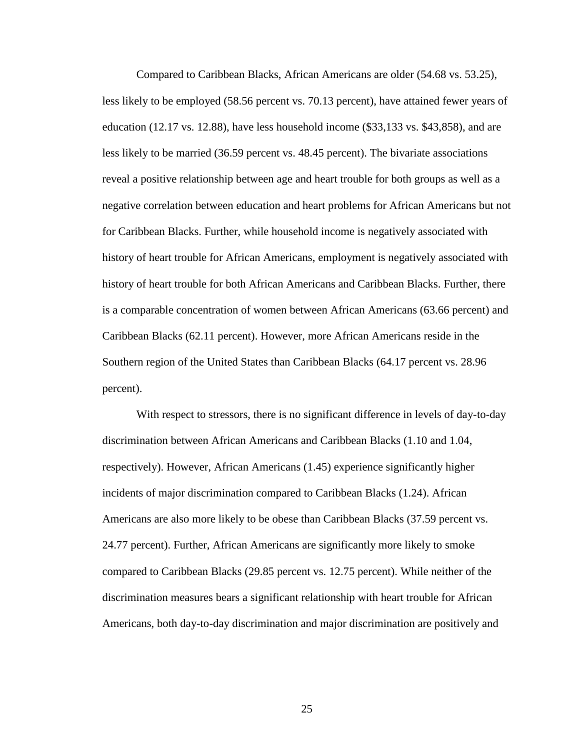Compared to Caribbean Blacks, African Americans are older (54.68 vs. 53.25), less likely to be employed (58.56 percent vs. 70.13 percent), have attained fewer years of education (12.17 vs. 12.88), have less household income (\$33,133 vs. \$43,858), and are less likely to be married (36.59 percent vs. 48.45 percent). The bivariate associations reveal a positive relationship between age and heart trouble for both groups as well as a negative correlation between education and heart problems for African Americans but not for Caribbean Blacks. Further, while household income is negatively associated with history of heart trouble for African Americans, employment is negatively associated with history of heart trouble for both African Americans and Caribbean Blacks. Further, there is a comparable concentration of women between African Americans (63.66 percent) and Caribbean Blacks (62.11 percent). However, more African Americans reside in the Southern region of the United States than Caribbean Blacks (64.17 percent vs. 28.96 percent).

With respect to stressors, there is no significant difference in levels of day-to-day discrimination between African Americans and Caribbean Blacks (1.10 and 1.04, respectively). However, African Americans (1.45) experience significantly higher incidents of major discrimination compared to Caribbean Blacks (1.24). African Americans are also more likely to be obese than Caribbean Blacks (37.59 percent vs. 24.77 percent). Further, African Americans are significantly more likely to smoke compared to Caribbean Blacks (29.85 percent vs. 12.75 percent). While neither of the discrimination measures bears a significant relationship with heart trouble for African Americans, both day-to-day discrimination and major discrimination are positively and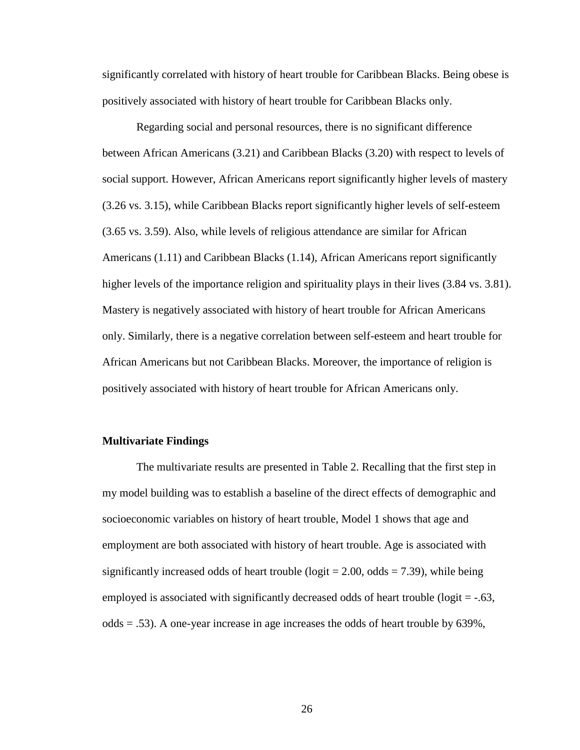significantly correlated with history of heart trouble for Caribbean Blacks. Being obese is positively associated with history of heart trouble for Caribbean Blacks only.

Regarding social and personal resources, there is no significant difference between African Americans (3.21) and Caribbean Blacks (3.20) with respect to levels of social support. However, African Americans report significantly higher levels of mastery (3.26 vs. 3.15), while Caribbean Blacks report significantly higher levels of self-esteem (3.65 vs. 3.59). Also, while levels of religious attendance are similar for African Americans (1.11) and Caribbean Blacks (1.14), African Americans report significantly higher levels of the importance religion and spirituality plays in their lives (3.84 vs. 3.81). Mastery is negatively associated with history of heart trouble for African Americans only. Similarly, there is a negative correlation between self-esteem and heart trouble for African Americans but not Caribbean Blacks. Moreover, the importance of religion is positively associated with history of heart trouble for African Americans only.

#### **Multivariate Findings**

The multivariate results are presented in Table 2. Recalling that the first step in my model building was to establish a baseline of the direct effects of demographic and socioeconomic variables on history of heart trouble, Model 1 shows that age and employment are both associated with history of heart trouble. Age is associated with significantly increased odds of heart trouble ( $logit = 2.00$ , odds = 7.39), while being employed is associated with significantly decreased odds of heart trouble ( $logit = -0.63$ , odds  $= .53$ ). A one-year increase in age increases the odds of heart trouble by 639%,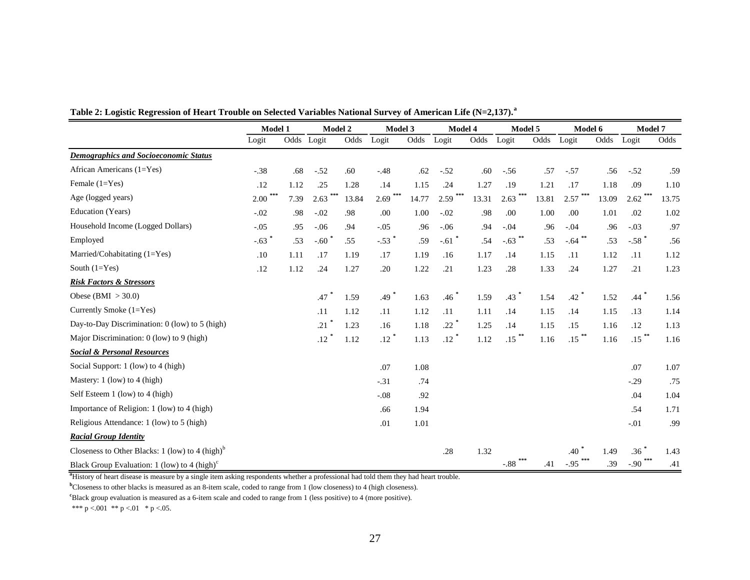|                                                             | Model 1<br>Model 2 |            | Model 3 |       | Model 4             |       | Model 5   |       | Model 6        |       | Model 7   |       |                    |       |
|-------------------------------------------------------------|--------------------|------------|---------|-------|---------------------|-------|-----------|-------|----------------|-------|-----------|-------|--------------------|-------|
|                                                             | Logit              | Odds Logit |         | Odds  | Logit               | Odds  | Logit     | Odds  | Logit          | Odds  | Logit     | Odds  | Logit              | Odds  |
| <b>Demographics and Socioeconomic Status</b>                |                    |            |         |       |                     |       |           |       |                |       |           |       |                    |       |
| African Americans $(1=Yes)$                                 | $-.38$             | .68        | $-.52$  | .60   | $-.48$              | .62   | $-.52$    | .60   | $-.56$         | .57   | $-.57$    | .56   | $-.52$             | .59   |
| Female $(1=Yes)$                                            | .12                | 1.12       | .25     | 1.28  | .14                 | 1.15  | .24       | 1.27  | .19            | 1.21  | .17       | 1.18  | .09                | 1.10  |
| Age (logged years)                                          | ***<br>2.00        | 7.39       | 2.63    | 13.84 | 2.69                | 14.77 | 2.59      | 13.31 | 2.63           | 13.81 | 2.57      | 13.09 | $2.62$ ***         | 13.75 |
| Education (Years)                                           | $-.02$             | .98        | $-.02$  | .98   | .00.                | 1.00  | $-.02$    | .98   | .00            | 1.00  | .00       | 1.01  | .02                | 1.02  |
| Household Income (Logged Dollars)                           | $-.05$             | .95        | $-.06$  | .94   | $-.05$              | .96   | $-.06$    | .94   | $-.04$         | .96   | $-.04$    | .96   | $-.03$             | .97   |
| Employed                                                    | $-.63$ *           | .53        | $-.60$  | .55   | $-.53$ <sup>*</sup> | .59   | $-.61$    | .54   | $-.63$ **      | .53   | $-.64$ ** | .53   | $-.58$ $*$         | .56   |
| Married/Cohabitating (1=Yes)                                | .10                | 1.11       | .17     | 1.19  | .17                 | 1.19  | .16       | 1.17  | .14            | 1.15  | .11       | 1.12  | .11                | 1.12  |
| South $(1=Yes)$                                             | .12                | 1.12       | .24     | 1.27  | .20                 | 1.22  | .21       | 1.23  | .28            | 1.33  | .24       | 1.27  | .21                | 1.23  |
| <b>Risk Factors &amp; Stressors</b>                         |                    |            |         |       |                     |       |           |       |                |       |           |       |                    |       |
| Obese (BMI $>$ 30.0)                                        |                    |            | .47     | 1.59  | .49                 | 1.63  | .46       | 1.59  | $.43$ $*$      | 1.54  | $.42$ $*$ | 1.52  | $.44$ <sup>*</sup> | 1.56  |
| Currently Smoke (1=Yes)                                     |                    |            | .11     | 1.12  | .11                 | 1.12  | .11       | 1.11  | .14            | 1.15  | .14       | 1.15  | .13                | 1.14  |
| Day-to-Day Discrimination: 0 (low) to 5 (high)              |                    |            | .21     | 1.23  | .16                 | 1.18  | $.22$ $*$ | 1.25  | .14            | 1.15  | .15       | 1.16  | .12                | 1.13  |
| Major Discrimination: 0 (low) to 9 (high)                   |                    |            | .12     | 1.12  | .12                 | 1.13  | .12       | 1.12  | $***$<br>.15   | 1.16  | .15       | 1.16  | $.15$ **           | 1.16  |
| <b>Social &amp; Personal Resources</b>                      |                    |            |         |       |                     |       |           |       |                |       |           |       |                    |       |
| Social Support: 1 (low) to 4 (high)                         |                    |            |         |       | .07                 | 1.08  |           |       |                |       |           |       | .07                | 1.07  |
| Mastery: $1$ (low) to $4$ (high)                            |                    |            |         |       | $-.31$              | .74   |           |       |                |       |           |       | $-.29$             | .75   |
| Self Esteem 1 (low) to 4 (high)                             |                    |            |         |       | $-.08$              | .92   |           |       |                |       |           |       | .04                | 1.04  |
| Importance of Religion: 1 (low) to 4 (high)                 |                    |            |         |       | .66                 | 1.94  |           |       |                |       |           |       | .54                | 1.71  |
| Religious Attendance: 1 (low) to 5 (high)                   |                    |            |         |       | .01                 | 1.01  |           |       |                |       |           |       | $-.01$             | .99   |
| <b>Racial Group Identity</b>                                |                    |            |         |       |                     |       |           |       |                |       |           |       |                    |       |
| Closeness to Other Blacks: 1 (low) to 4 (high) <sup>b</sup> |                    |            |         |       |                     |       | .28       | 1.32  |                |       | .40       | 1.49  | $.36$ $*$          | 1.43  |
| Black Group Evaluation: 1 (low) to 4 (high) $\textdegree$   |                    |            |         |       |                     |       |           |       | ***<br>$-0.88$ | .41   | $-.95$    | .39   | $-.90$             | .41   |

**Table 2: Logistic Regression of Heart Trouble on Selected Variables National Survey of American Life (N=2,137).<sup>a</sup>**

**<sup>a</sup>**History of heart disease is measure by a single item asking respondents whether a professional had told them they had heart trouble.

**b**Closeness to other blacks is measured as an 8-item scale, coded to range from 1 (low closeness) to 4 (high closeness).

<sup>c</sup>Black group evaluation is measured as a 6-item scale and coded to range from 1 (less positive) to 4 (more positive).

\*\*\* p <.001 \*\* p <.01 \* p <.05.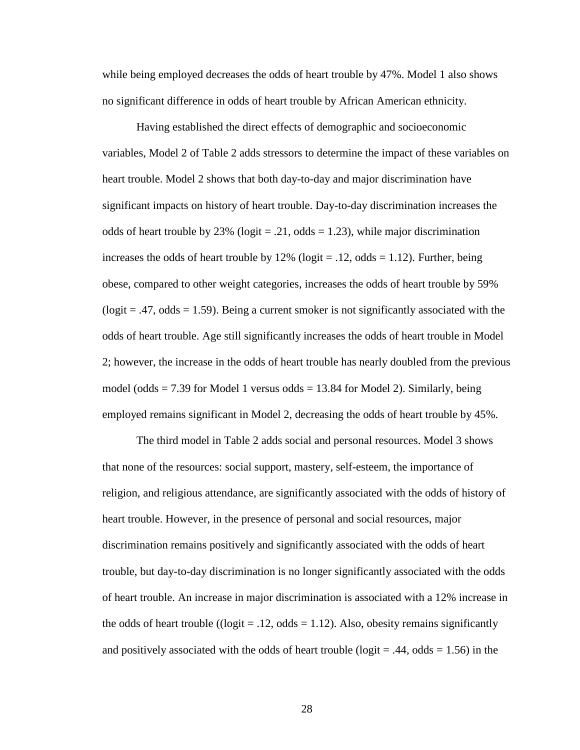while being employed decreases the odds of heart trouble by 47%. Model 1 also shows no significant difference in odds of heart trouble by African American ethnicity.

Having established the direct effects of demographic and socioeconomic variables, Model 2 of Table 2 adds stressors to determine the impact of these variables on heart trouble. Model 2 shows that both day-to-day and major discrimination have significant impacts on history of heart trouble. Day-to-day discrimination increases the odds of heart trouble by 23% (logit = .21, odds = 1.23), while major discrimination increases the odds of heart trouble by  $12\%$  (logit = .12, odds = 1.12). Further, being obese, compared to other weight categories, increases the odds of heart trouble by 59%  $(logit = .47, odds = 1.59)$ . Being a current smoker is not significantly associated with the odds of heart trouble. Age still significantly increases the odds of heart trouble in Model 2; however, the increase in the odds of heart trouble has nearly doubled from the previous model (odds  $= 7.39$  for Model 1 versus odds  $= 13.84$  for Model 2). Similarly, being employed remains significant in Model 2, decreasing the odds of heart trouble by 45%.

The third model in Table 2 adds social and personal resources. Model 3 shows that none of the resources: social support, mastery, self-esteem, the importance of religion, and religious attendance, are significantly associated with the odds of history of heart trouble. However, in the presence of personal and social resources, major discrimination remains positively and significantly associated with the odds of heart trouble, but day-to-day discrimination is no longer significantly associated with the odds of heart trouble. An increase in major discrimination is associated with a 12% increase in the odds of heart trouble (( $logit = .12$ , odds = 1.12). Also, obesity remains significantly and positively associated with the odds of heart trouble ( $logit = .44$ , odds  $= 1.56$ ) in the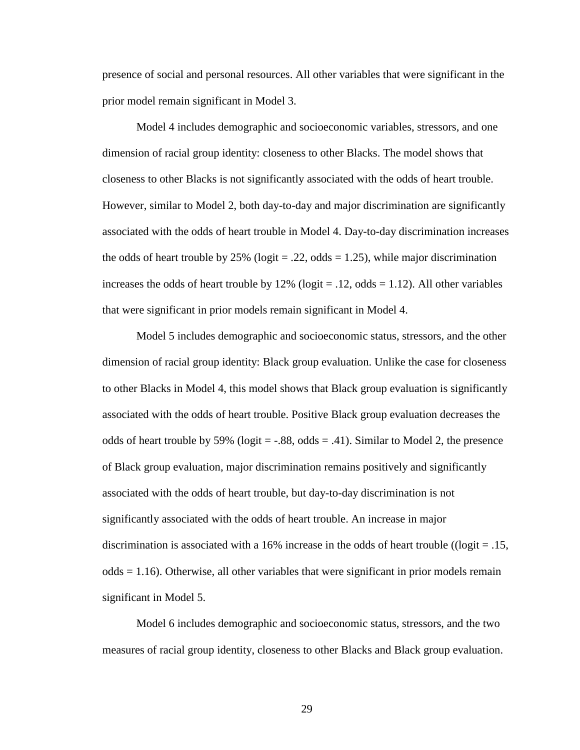presence of social and personal resources. All other variables that were significant in the prior model remain significant in Model 3.

Model 4 includes demographic and socioeconomic variables, stressors, and one dimension of racial group identity: closeness to other Blacks. The model shows that closeness to other Blacks is not significantly associated with the odds of heart trouble. However, similar to Model 2, both day-to-day and major discrimination are significantly associated with the odds of heart trouble in Model 4. Day-to-day discrimination increases the odds of heart trouble by 25% ( $logit = .22$ , odds = 1.25), while major discrimination increases the odds of heart trouble by  $12\%$  (logit = .12, odds = 1.12). All other variables that were significant in prior models remain significant in Model 4.

Model 5 includes demographic and socioeconomic status, stressors, and the other dimension of racial group identity: Black group evaluation. Unlike the case for closeness to other Blacks in Model 4, this model shows that Black group evaluation is significantly associated with the odds of heart trouble. Positive Black group evaluation decreases the odds of heart trouble by 59% (logit  $=$  -.88, odds  $=$  .41). Similar to Model 2, the presence of Black group evaluation, major discrimination remains positively and significantly associated with the odds of heart trouble, but day-to-day discrimination is not significantly associated with the odds of heart trouble. An increase in major discrimination is associated with a 16% increase in the odds of heart trouble (( $logit = .15$ ,  $odds = 1.16$ ). Otherwise, all other variables that were significant in prior models remain significant in Model 5.

Model 6 includes demographic and socioeconomic status, stressors, and the two measures of racial group identity, closeness to other Blacks and Black group evaluation.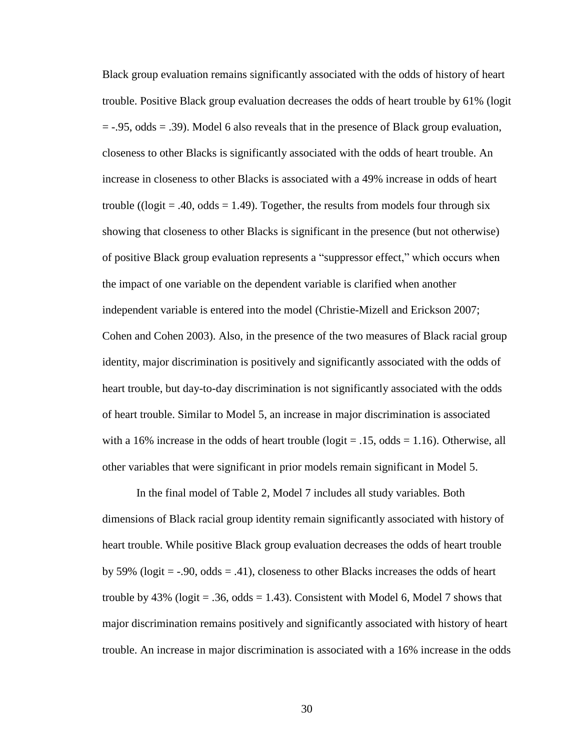Black group evaluation remains significantly associated with the odds of history of heart trouble. Positive Black group evaluation decreases the odds of heart trouble by 61% (logit  $=$  -.95, odds  $=$  .39). Model 6 also reveals that in the presence of Black group evaluation, closeness to other Blacks is significantly associated with the odds of heart trouble. An increase in closeness to other Blacks is associated with a 49% increase in odds of heart trouble (( $logit = .40$ ,  $odds = 1.49$ ). Together, the results from models four through six showing that closeness to other Blacks is significant in the presence (but not otherwise) of positive Black group evaluation represents a "suppressor effect," which occurs when the impact of one variable on the dependent variable is clarified when another independent variable is entered into the model (Christie-Mizell and Erickson 2007; Cohen and Cohen 2003). Also, in the presence of the two measures of Black racial group identity, major discrimination is positively and significantly associated with the odds of heart trouble, but day-to-day discrimination is not significantly associated with the odds of heart trouble. Similar to Model 5, an increase in major discrimination is associated with a 16% increase in the odds of heart trouble ( $logit = .15$ , odds = 1.16). Otherwise, all other variables that were significant in prior models remain significant in Model 5.

In the final model of Table 2, Model 7 includes all study variables. Both dimensions of Black racial group identity remain significantly associated with history of heart trouble. While positive Black group evaluation decreases the odds of heart trouble by 59% (logit  $=$  -.90, odds  $=$  .41), closeness to other Blacks increases the odds of heart trouble by 43% (logit = .36, odds = 1.43). Consistent with Model 6, Model 7 shows that major discrimination remains positively and significantly associated with history of heart trouble. An increase in major discrimination is associated with a 16% increase in the odds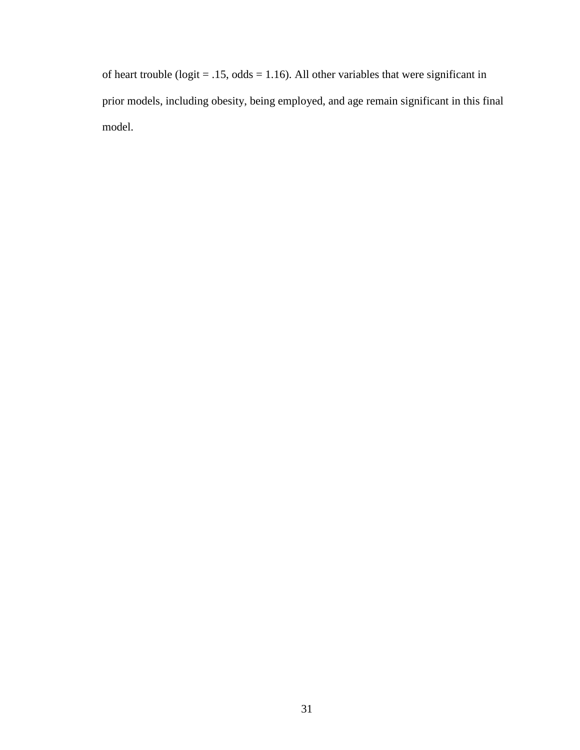of heart trouble ( $logit = .15$ ,  $odds = 1.16$ ). All other variables that were significant in prior models, including obesity, being employed, and age remain significant in this final model.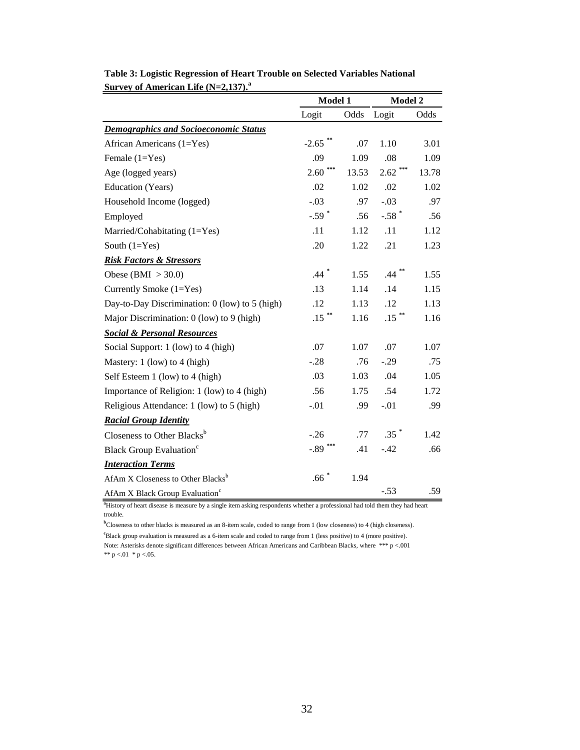|                                                | Model 1             |       | Model 2    |       |  |
|------------------------------------------------|---------------------|-------|------------|-------|--|
|                                                | Logit               | Odds  | Logit      | Odds  |  |
| <b>Demographics and Socioeconomic Status</b>   |                     |       |            |       |  |
| African Americans (1=Yes)                      | $-2.65$             | .07   | 1.10       | 3.01  |  |
| Female (1=Yes)                                 | .09                 | 1.09  | .08        | 1.09  |  |
| Age (logged years)                             | 2.60                | 13.53 | 2.62       | 13.78 |  |
| Education (Years)                              | .02                 | 1.02  | .02        | 1.02  |  |
| Household Income (logged)                      | $-.03$              | .97   | $-.03$     | .97   |  |
| Employed                                       | $-.59$ <sup>*</sup> | .56   | $-.58$ $*$ | .56   |  |
| Married/Cohabitating (1=Yes)                   | .11                 | 1.12  | .11        | 1.12  |  |
| South $(1=Yes)$                                | .20                 | 1.22  | .21        | 1.23  |  |
| <b>Risk Factors &amp; Stressors</b>            |                     |       |            |       |  |
| Obese (BMI $>$ 30.0)                           | $.44$ $*$           | 1.55  | .44        | 1.55  |  |
| Currently Smoke (1=Yes)                        | .13                 | 1.14  | .14        | 1.15  |  |
| Day-to-Day Discrimination: 0 (low) to 5 (high) | .12                 | 1.13  | .12        | 1.13  |  |
| Major Discrimination: 0 (low) to 9 (high)      | $.15$ **            | 1.16  | $.15$ **   | 1.16  |  |
| <b>Social &amp; Personal Resources</b>         |                     |       |            |       |  |
| Social Support: 1 (low) to 4 (high)            | .07                 | 1.07  | .07        | 1.07  |  |
| Mastery: 1 (low) to 4 (high)                   | $-.28$              | .76   | $-.29$     | .75   |  |
| Self Esteem 1 (low) to 4 (high)                | .03                 | 1.03  | .04        | 1.05  |  |
| Importance of Religion: 1 (low) to 4 (high)    | .56                 | 1.75  | .54        | 1.72  |  |
| Religious Attendance: 1 (low) to 5 (high)      | $-.01$              | .99   | $-.01$     | .99   |  |
| <b>Racial Group Identity</b>                   |                     |       |            |       |  |
| Closeness to Other Blacks <sup>b</sup>         | $-.26$              | .77   | $.35$ $*$  | 1.42  |  |
| <b>Black Group Evaluation</b> <sup>c</sup>     | $-0.89$             | .41   | $-.42$     | .66   |  |
| <b>Interaction Terms</b>                       |                     |       |            |       |  |
| AfAm X Closeness to Other Blacks <sup>b</sup>  | .66 $^\ast$         | 1.94  |            |       |  |
| AfAm X Black Group Evaluation <sup>c</sup>     |                     |       | $-.53$     | .59   |  |

**Table 3: Logistic Regression of Heart Trouble on Selected Variables National Survey of American Life (N=2,137).<sup>a</sup>**

<sup>a</sup>History of heart disease is measure by a single item asking respondents whether a professional had told them they had heart trouble.

Note: Asterisks denote significant differences between African Americans and Caribbean Blacks, where \*\*\* p <.001 \*\*  $p < 01$  \*  $p < 05$ . **<sup>b</sup>**Closeness to other blacks is measured as an 8-item scale, coded to range from 1 (low closeness) to 4 (high closeness). <sup>c</sup>Black group evaluation is measured as a 6-item scale and coded to range from 1 (less positive) to 4 (more positive).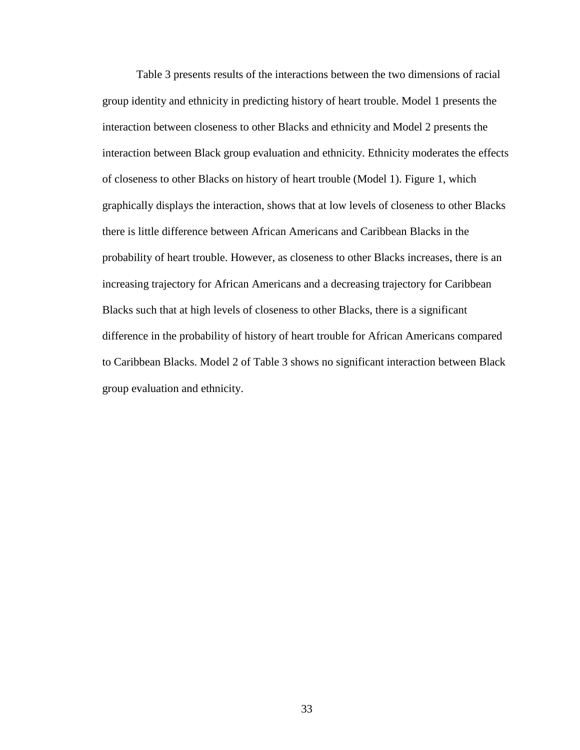Table 3 presents results of the interactions between the two dimensions of racial group identity and ethnicity in predicting history of heart trouble. Model 1 presents the interaction between closeness to other Blacks and ethnicity and Model 2 presents the interaction between Black group evaluation and ethnicity. Ethnicity moderates the effects of closeness to other Blacks on history of heart trouble (Model 1). Figure 1, which graphically displays the interaction, shows that at low levels of closeness to other Blacks there is little difference between African Americans and Caribbean Blacks in the probability of heart trouble. However, as closeness to other Blacks increases, there is an increasing trajectory for African Americans and a decreasing trajectory for Caribbean Blacks such that at high levels of closeness to other Blacks, there is a significant difference in the probability of history of heart trouble for African Americans compared to Caribbean Blacks. Model 2 of Table 3 shows no significant interaction between Black group evaluation and ethnicity.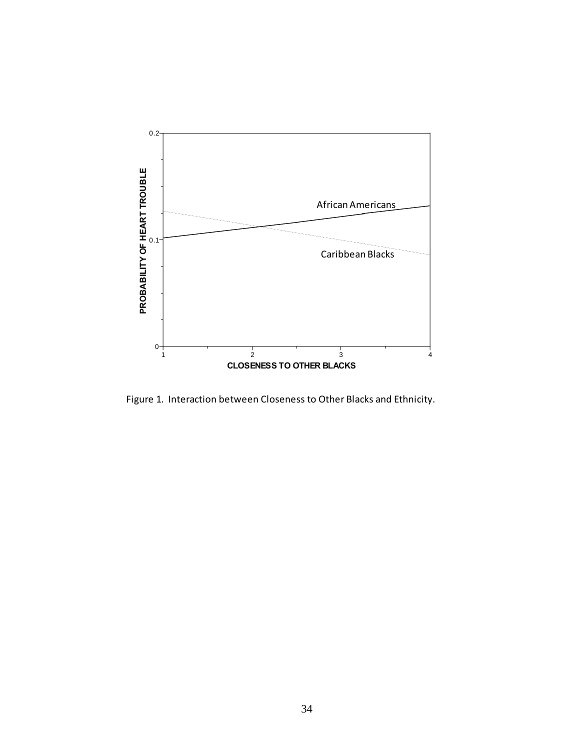

Figure 1. Interaction between Closeness to Other Blacks and Ethnicity.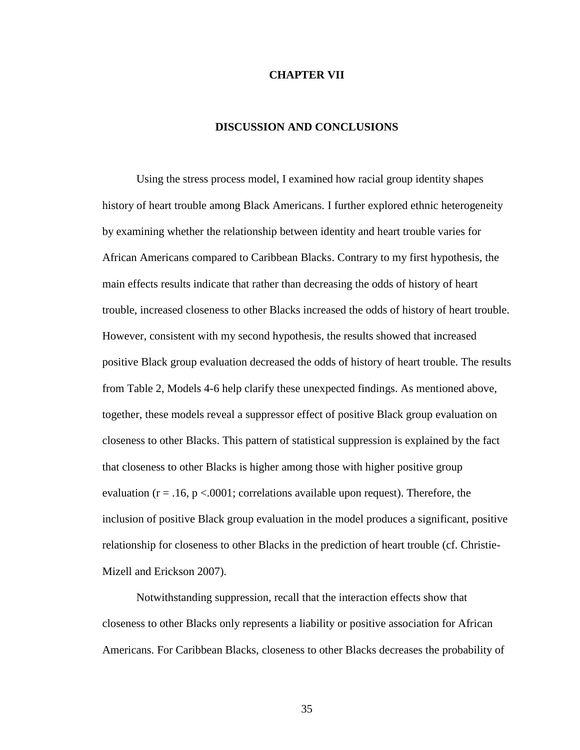#### **CHAPTER VII**

## **DISCUSSION AND CONCLUSIONS**

Using the stress process model, I examined how racial group identity shapes history of heart trouble among Black Americans. I further explored ethnic heterogeneity by examining whether the relationship between identity and heart trouble varies for African Americans compared to Caribbean Blacks. Contrary to my first hypothesis, the main effects results indicate that rather than decreasing the odds of history of heart trouble, increased closeness to other Blacks increased the odds of history of heart trouble. However, consistent with my second hypothesis, the results showed that increased positive Black group evaluation decreased the odds of history of heart trouble. The results from Table 2, Models 4-6 help clarify these unexpected findings. As mentioned above, together, these models reveal a suppressor effect of positive Black group evaluation on closeness to other Blacks. This pattern of statistical suppression is explained by the fact that closeness to other Blacks is higher among those with higher positive group evaluation ( $r = .16$ ,  $p < .0001$ ; correlations available upon request). Therefore, the inclusion of positive Black group evaluation in the model produces a significant, positive relationship for closeness to other Blacks in the prediction of heart trouble (cf. Christie-Mizell and Erickson 2007).

Notwithstanding suppression, recall that the interaction effects show that closeness to other Blacks only represents a liability or positive association for African Americans. For Caribbean Blacks, closeness to other Blacks decreases the probability of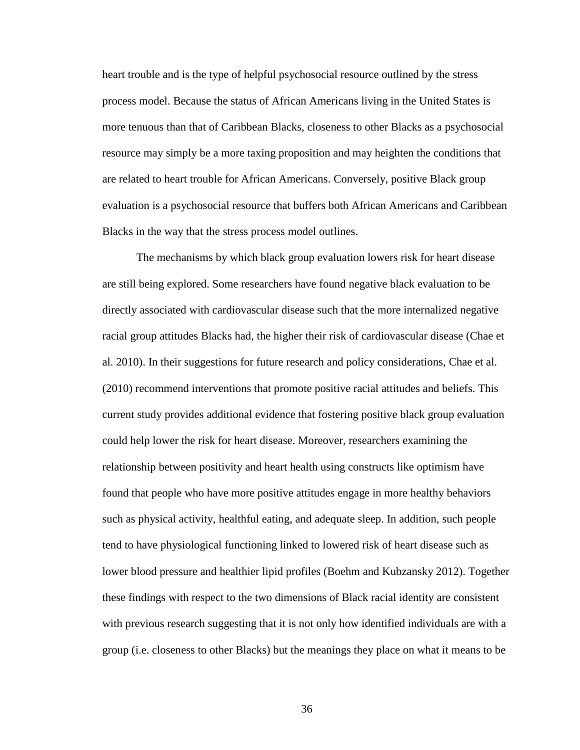heart trouble and is the type of helpful psychosocial resource outlined by the stress process model. Because the status of African Americans living in the United States is more tenuous than that of Caribbean Blacks, closeness to other Blacks as a psychosocial resource may simply be a more taxing proposition and may heighten the conditions that are related to heart trouble for African Americans. Conversely, positive Black group evaluation is a psychosocial resource that buffers both African Americans and Caribbean Blacks in the way that the stress process model outlines.

The mechanisms by which black group evaluation lowers risk for heart disease are still being explored. Some researchers have found negative black evaluation to be directly associated with cardiovascular disease such that the more internalized negative racial group attitudes Blacks had, the higher their risk of cardiovascular disease (Chae et al. 2010). In their suggestions for future research and policy considerations, Chae et al. (2010) recommend interventions that promote positive racial attitudes and beliefs. This current study provides additional evidence that fostering positive black group evaluation could help lower the risk for heart disease. Moreover, researchers examining the relationship between positivity and heart health using constructs like optimism have found that people who have more positive attitudes engage in more healthy behaviors such as physical activity, healthful eating, and adequate sleep. In addition, such people tend to have physiological functioning linked to lowered risk of heart disease such as lower blood pressure and healthier lipid profiles (Boehm and Kubzansky 2012). Together these findings with respect to the two dimensions of Black racial identity are consistent with previous research suggesting that it is not only how identified individuals are with a group (i.e. closeness to other Blacks) but the meanings they place on what it means to be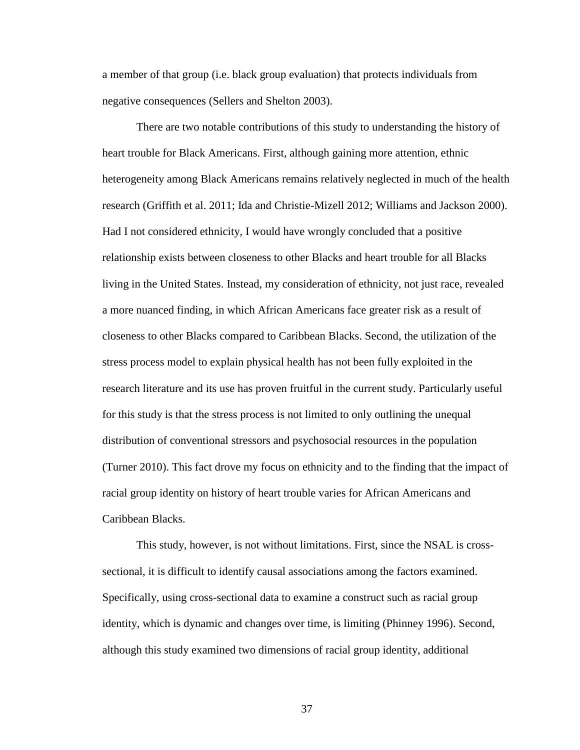a member of that group (i.e. black group evaluation) that protects individuals from negative consequences (Sellers and Shelton 2003).

There are two notable contributions of this study to understanding the history of heart trouble for Black Americans. First, although gaining more attention, ethnic heterogeneity among Black Americans remains relatively neglected in much of the health research (Griffith et al. 2011; Ida and Christie-Mizell 2012; Williams and Jackson 2000). Had I not considered ethnicity, I would have wrongly concluded that a positive relationship exists between closeness to other Blacks and heart trouble for all Blacks living in the United States. Instead, my consideration of ethnicity, not just race, revealed a more nuanced finding, in which African Americans face greater risk as a result of closeness to other Blacks compared to Caribbean Blacks. Second, the utilization of the stress process model to explain physical health has not been fully exploited in the research literature and its use has proven fruitful in the current study. Particularly useful for this study is that the stress process is not limited to only outlining the unequal distribution of conventional stressors and psychosocial resources in the population (Turner 2010). This fact drove my focus on ethnicity and to the finding that the impact of racial group identity on history of heart trouble varies for African Americans and Caribbean Blacks.

This study, however, is not without limitations. First, since the NSAL is crosssectional, it is difficult to identify causal associations among the factors examined. Specifically, using cross-sectional data to examine a construct such as racial group identity, which is dynamic and changes over time, is limiting (Phinney 1996). Second, although this study examined two dimensions of racial group identity, additional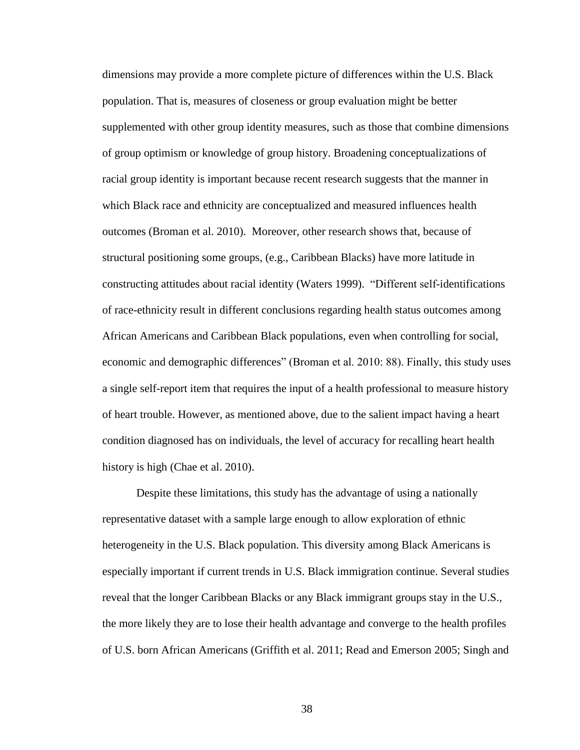dimensions may provide a more complete picture of differences within the U.S. Black population. That is, measures of closeness or group evaluation might be better supplemented with other group identity measures, such as those that combine dimensions of group optimism or knowledge of group history. Broadening conceptualizations of racial group identity is important because recent research suggests that the manner in which Black race and ethnicity are conceptualized and measured influences health outcomes (Broman et al. 2010). Moreover, other research shows that, because of structural positioning some groups, (e.g., Caribbean Blacks) have more latitude in constructing attitudes about racial identity (Waters 1999). "Different self-identifications of race-ethnicity result in different conclusions regarding health status outcomes among African Americans and Caribbean Black populations, even when controlling for social, economic and demographic differences" (Broman et al. 2010: 88). Finally, this study uses a single self-report item that requires the input of a health professional to measure history of heart trouble. However, as mentioned above, due to the salient impact having a heart condition diagnosed has on individuals, the level of accuracy for recalling heart health history is high (Chae et al. 2010).

Despite these limitations, this study has the advantage of using a nationally representative dataset with a sample large enough to allow exploration of ethnic heterogeneity in the U.S. Black population. This diversity among Black Americans is especially important if current trends in U.S. Black immigration continue. Several studies reveal that the longer Caribbean Blacks or any Black immigrant groups stay in the U.S., the more likely they are to lose their health advantage and converge to the health profiles of U.S. born African Americans (Griffith et al. 2011; Read and Emerson 2005; Singh and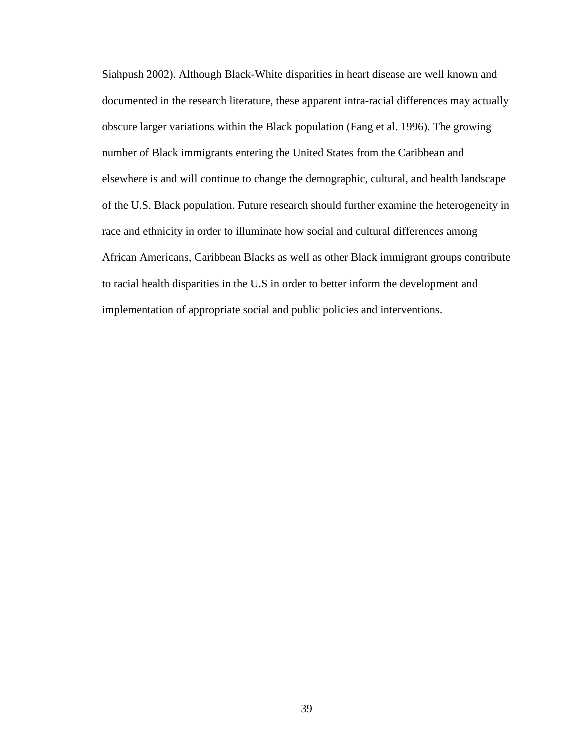Siahpush 2002). Although Black-White disparities in heart disease are well known and documented in the research literature, these apparent intra-racial differences may actually obscure larger variations within the Black population (Fang et al. 1996). The growing number of Black immigrants entering the United States from the Caribbean and elsewhere is and will continue to change the demographic, cultural, and health landscape of the U.S. Black population. Future research should further examine the heterogeneity in race and ethnicity in order to illuminate how social and cultural differences among African Americans, Caribbean Blacks as well as other Black immigrant groups contribute to racial health disparities in the U.S in order to better inform the development and implementation of appropriate social and public policies and interventions.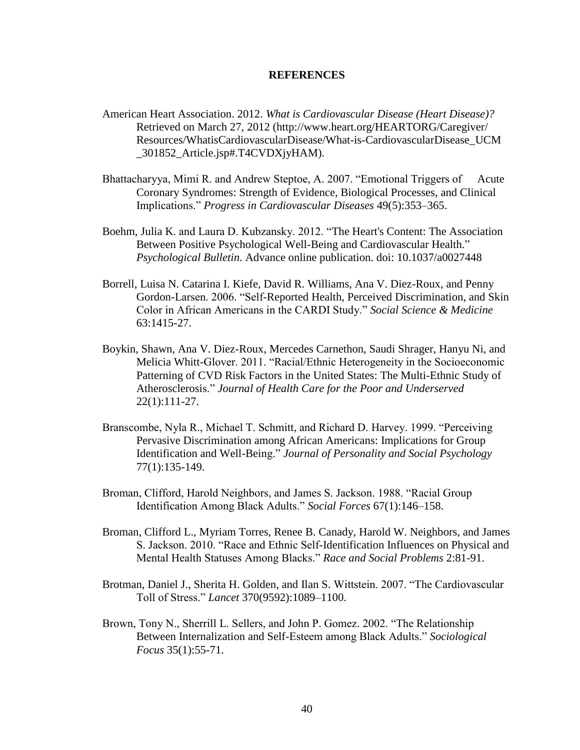#### **REFERENCES**

- American Heart Association. 2012. *What is Cardiovascular Disease (Heart Disease)?* Retrieved on March 27, 2012 (http://www.heart.org/HEARTORG/Caregiver/ Resources/WhatisCardiovascularDisease/What-is-CardiovascularDisease\_UCM \_301852\_Article.jsp#.T4CVDXjyHAM).
- Bhattacharyya, Mimi R. and Andrew Steptoe, A. 2007. "Emotional Triggers of Acute Coronary Syndromes: Strength of Evidence, Biological Processes, and Clinical Implications." *Progress in Cardiovascular Diseases* 49(5):353–365.
- Boehm, Julia K. and Laura D. Kubzansky. 2012. "The Heart's Content: The Association Between Positive Psychological Well-Being and Cardiovascular Health." *Psychological Bulletin*. Advance online publication. doi: 10.1037/a0027448
- Borrell, Luisa N. Catarina I. Kiefe, David R. Williams, Ana V. Diez-Roux, and Penny Gordon-Larsen. 2006. "Self-Reported Health, Perceived Discrimination, and Skin Color in African Americans in the CARDI Study." *Social Science & Medicine* 63:1415-27.
- Boykin, Shawn, Ana V. Diez-Roux, Mercedes Carnethon, Saudi Shrager, Hanyu Ni, and Melicia Whitt-Glover. 2011. "Racial/Ethnic Heterogeneity in the Socioeconomic Patterning of CVD Risk Factors in the United States: The Multi-Ethnic Study of Atherosclerosis." *Journal of Health Care for the Poor and Underserved* 22(1):111-27.
- Branscombe, Nyla R., Michael T. Schmitt, and Richard D. Harvey. 1999. "Perceiving Pervasive Discrimination among African Americans: Implications for Group Identification and Well-Being." *Journal of Personality and Social Psychology* 77(1):135-149.
- Broman, Clifford, Harold Neighbors, and James S. Jackson. 1988. "Racial Group Identification Among Black Adults." *Social Forces* 67(1):146–158.
- Broman, Clifford L., Myriam Torres, Renee B. Canady, Harold W. Neighbors, and James S. Jackson. 2010. "Race and Ethnic Self-Identification Influences on Physical and Mental Health Statuses Among Blacks." *Race and Social Problems* 2:81-91.
- Brotman, Daniel J., Sherita H. Golden, and Ilan S. Wittstein. 2007. "The Cardiovascular Toll of Stress." *Lancet* 370(9592):1089–1100.
- Brown, Tony N., Sherrill L. Sellers, and John P. Gomez. 2002. "The Relationship Between Internalization and Self-Esteem among Black Adults." *Sociological Focus* 35(1):55-71.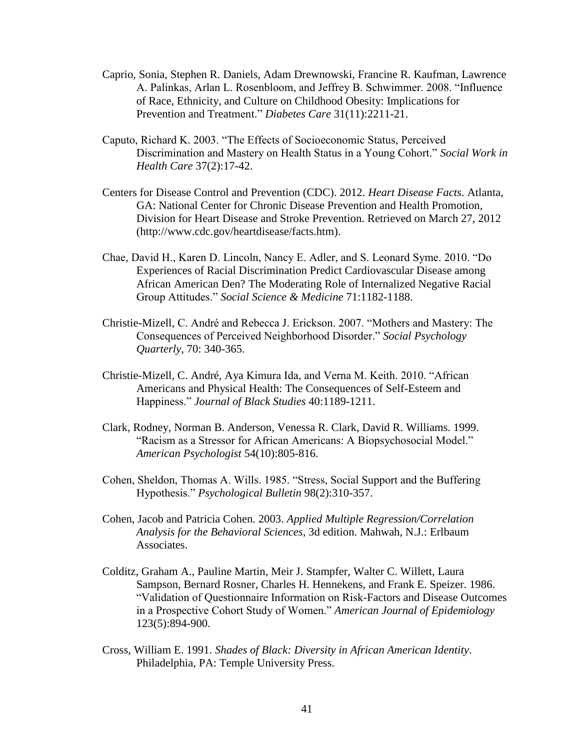- Caprio, Sonia, Stephen R. Daniels, Adam Drewnowski, Francine R. Kaufman, Lawrence A. Palinkas, Arlan L. Rosenbloom, and Jeffrey B. Schwimmer. 2008. "Influence of Race, Ethnicity, and Culture on Childhood Obesity: Implications for Prevention and Treatment." *Diabetes Care* 31(11):2211-21.
- Caputo, Richard K. 2003. "The Effects of Socioeconomic Status, Perceived Discrimination and Mastery on Health Status in a Young Cohort." *Social Work in Health Care* 37(2):17-42.
- Centers for Disease Control and Prevention (CDC). 2012. *Heart Disease Facts*. Atlanta, GA: National Center for Chronic Disease Prevention and Health Promotion, Division for Heart Disease and Stroke Prevention. Retrieved on March 27, 2012 (http://www.cdc.gov/heartdisease/facts.htm).
- Chae, David H., Karen D. Lincoln, Nancy E. Adler, and S. Leonard Syme. 2010. "Do Experiences of Racial Discrimination Predict Cardiovascular Disease among African American Den? The Moderating Role of Internalized Negative Racial Group Attitudes." *Social Science & Medicine* 71:1182-1188.
- Christie-Mizell, C. André and Rebecca J. Erickson. 2007. "Mothers and Mastery: The Consequences of Perceived Neighborhood Disorder." *Social Psychology Quarterly*, 70: 340-365.
- Christie-Mizell, C. André, Aya Kimura Ida, and Verna M. Keith. 2010. "African Americans and Physical Health: The Consequences of Self-Esteem and Happiness." *Journal of Black Studies* 40:1189-1211.
- Clark, Rodney, Norman B. Anderson, Venessa R. Clark, David R. Williams. 1999. "Racism as a Stressor for African Americans: A Biopsychosocial Model." *American Psychologist* 54(10):805-816.
- Cohen, Sheldon, Thomas A. Wills. 1985. "Stress, Social Support and the Buffering Hypothesis." *Psychological Bulletin* 98(2):310-357.
- Cohen, Jacob and Patricia Cohen. 2003. *Applied Multiple Regression/Correlation Analysis for the Behavioral Sciences*, 3d edition. Mahwah, N.J.: Erlbaum Associates.
- Colditz, Graham A., Pauline Martin, Meir J. Stampfer, Walter C. Willett, Laura Sampson, Bernard Rosner, Charles H. Hennekens, and Frank E. Speizer. 1986. "Validation of Questionnaire Information on Risk-Factors and Disease Outcomes in a Prospective Cohort Study of Women." *American Journal of Epidemiology* 123(5):894-900.
- Cross, William E. 1991. *Shades of Black: Diversity in African American Identity*. Philadelphia, PA: Temple University Press.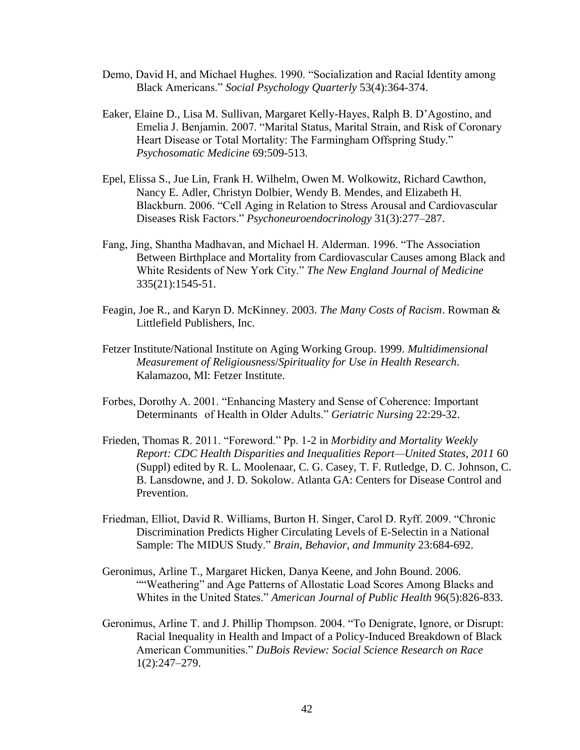- Demo, David H, and Michael Hughes. 1990. "Socialization and Racial Identity among Black Americans." *Social Psychology Quarterly* 53(4):364-374.
- Eaker, Elaine D., Lisa M. Sullivan, Margaret Kelly-Hayes, Ralph B. D'Agostino, and Emelia J. Benjamin. 2007. "Marital Status, Marital Strain, and Risk of Coronary Heart Disease or Total Mortality: The Farmingham Offspring Study." *Psychosomatic Medicine* 69:509-513.
- Epel, Elissa S., Jue Lin, Frank H. Wilhelm, Owen M. Wolkowitz, Richard Cawthon, Nancy E. Adler, Christyn Dolbier, Wendy B. Mendes, and Elizabeth H. Blackburn. 2006. "Cell Aging in Relation to Stress Arousal and Cardiovascular Diseases Risk Factors." *Psychoneuroendocrinology* 31(3):277–287.
- Fang, Jing, Shantha Madhavan, and Michael H. Alderman. 1996. "The Association Between Birthplace and Mortality from Cardiovascular Causes among Black and White Residents of New York City." *The New England Journal of Medicine* 335(21):1545-51.
- Feagin, Joe R., and Karyn D. McKinney. 2003. *The Many Costs of Racism*. Rowman & Littlefield Publishers, Inc.
- Fetzer Institute/National Institute on Aging Working Group. 1999. *Multidimensional Measurement of Religiousness*/*Spirituality for Use in Health Research*. Kalamazoo, MI: Fetzer Institute.
- Forbes, Dorothy A. 2001. "Enhancing Mastery and Sense of Coherence: Important Determinants of Health in Older Adults." *Geriatric Nursing* 22:29-32.
- Frieden, Thomas R. 2011. "Foreword." Pp. 1-2 in *Morbidity and Mortality Weekly Report: CDC Health Disparities and Inequalities Report—United States, 2011* 60 (Suppl) edited by R. L. Moolenaar, C. G. Casey, T. F. Rutledge, D. C. Johnson, C. B. Lansdowne, and J. D. Sokolow. Atlanta GA: Centers for Disease Control and Prevention.
- Friedman, Elliot, David R. Williams, Burton H. Singer, Carol D. Ryff. 2009. "Chronic Discrimination Predicts Higher Circulating Levels of E-Selectin in a National Sample: The MIDUS Study." *Brain, Behavior, and Immunity* 23:684-692.
- Geronimus, Arline T., Margaret Hicken, Danya Keene, and John Bound. 2006. ""Weathering" and Age Patterns of Allostatic Load Scores Among Blacks and Whites in the United States." *American Journal of Public Health* 96(5):826-833.
- Geronimus, Arline T. and J. Phillip Thompson. 2004. "To Denigrate, Ignore, or Disrupt: Racial Inequality in Health and Impact of a Policy-Induced Breakdown of Black American Communities." *DuBois Review: Social Science Research on Race* 1(2):247–279.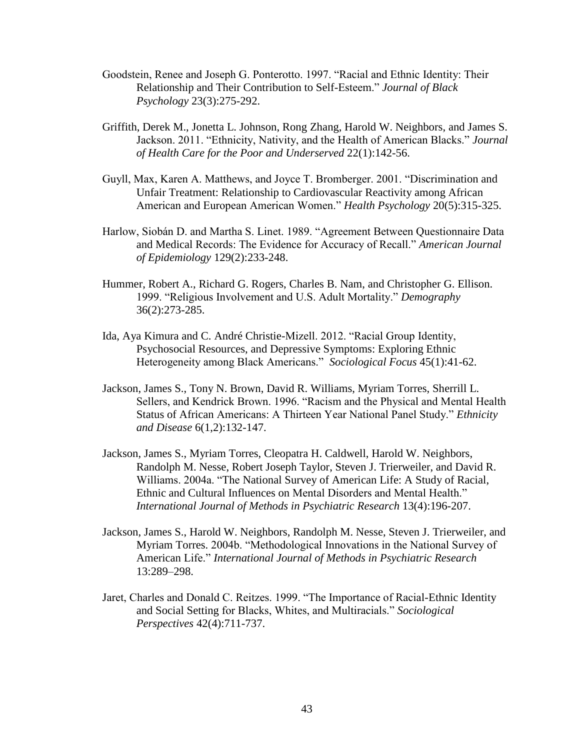- Goodstein, Renee and Joseph G. Ponterotto. 1997. "Racial and Ethnic Identity: Their Relationship and Their Contribution to Self-Esteem." *Journal of Black Psychology* 23(3):275-292.
- Griffith, Derek M., Jonetta L. Johnson, Rong Zhang, Harold W. Neighbors, and James S. Jackson. 2011. "Ethnicity, Nativity, and the Health of American Blacks." *Journal of Health Care for the Poor and Underserved* 22(1):142-56.
- Guyll, Max, Karen A. Matthews, and Joyce T. Bromberger. 2001. "Discrimination and Unfair Treatment: Relationship to Cardiovascular Reactivity among African American and European American Women." *Health Psychology* 20(5):315-325.
- Harlow, Siobán D. and Martha S. Linet. 1989. "Agreement Between Questionnaire Data and Medical Records: The Evidence for Accuracy of Recall." *American Journal of Epidemiology* 129(2):233-248.
- Hummer, Robert A., Richard G. Rogers, Charles B. Nam, and Christopher G. Ellison. 1999. "Religious Involvement and U.S. Adult Mortality." *Demography* 36(2):273-285.
- Ida, Aya Kimura and C. André Christie-Mizell. 2012. "Racial Group Identity, Psychosocial Resources, and Depressive Symptoms: Exploring Ethnic Heterogeneity among Black Americans." *Sociological Focus* 45(1):41-62.
- Jackson, James S., Tony N. Brown, David R. Williams, Myriam Torres, Sherrill L. Sellers, and Kendrick Brown. 1996. "Racism and the Physical and Mental Health Status of African Americans: A Thirteen Year National Panel Study." *Ethnicity and Disease* 6(1,2):132-147.
- Jackson, James S., Myriam Torres, Cleopatra H. Caldwell, Harold W. Neighbors, Randolph M. Nesse, Robert Joseph Taylor, Steven J. Trierweiler, and David R. Williams. 2004a. "The National Survey of American Life: A Study of Racial, Ethnic and Cultural Influences on Mental Disorders and Mental Health." *International Journal of Methods in Psychiatric Research* 13(4):196-207.
- Jackson, James S., Harold W. Neighbors, Randolph M. Nesse, Steven J. Trierweiler, and Myriam Torres. 2004b. "Methodological Innovations in the National Survey of American Life." *International Journal of Methods in Psychiatric Research*  13:289–298.
- Jaret, Charles and Donald C. Reitzes. 1999. "The Importance of Racial-Ethnic Identity and Social Setting for Blacks, Whites, and Multiracials." *Sociological Perspectives* 42(4):711-737.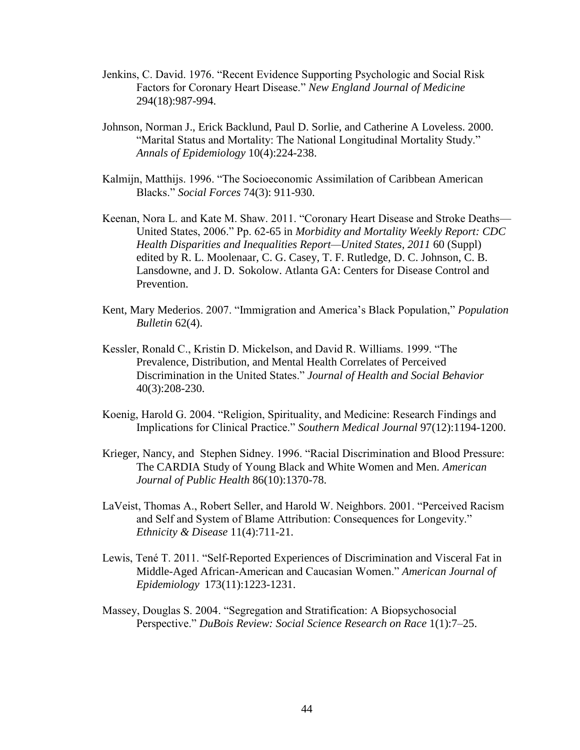- Jenkins, C. David. 1976. "Recent Evidence Supporting Psychologic and Social Risk Factors for Coronary Heart Disease." *New England Journal of Medicine* 294(18):987-994.
- Johnson, Norman J., Erick Backlund, Paul D. Sorlie, and Catherine A Loveless. 2000. "Marital Status and Mortality: The National Longitudinal Mortality Study." *Annals of Epidemiology* 10(4):224-238.
- Kalmijn, Matthijs. 1996. "The Socioeconomic Assimilation of Caribbean American Blacks." *Social Forces* 74(3): 911-930.
- Keenan, Nora L. and Kate M. Shaw. 2011. "Coronary Heart Disease and Stroke Deaths— United States, 2006." Pp. 62-65 in *Morbidity and Mortality Weekly Report: CDC Health Disparities and Inequalities Report—United States, 2011* 60 (Suppl) edited by R. L. Moolenaar, C. G. Casey, T. F. Rutledge, D. C. Johnson, C. B. Lansdowne, and J. D. Sokolow. Atlanta GA: Centers for Disease Control and Prevention.
- Kent, Mary Mederios. 2007. "Immigration and America's Black Population," *Population Bulletin* 62(4).
- Kessler, Ronald C., Kristin D. Mickelson, and David R. Williams. 1999. "The Prevalence, Distribution, and Mental Health Correlates of Perceived Discrimination in the United States." *Journal of Health and Social Behavior* 40(3):208-230.
- Koenig, Harold G. 2004. "Religion, Spirituality, and Medicine: Research Findings and Implications for Clinical Practice." *Southern Medical Journal* 97(12):1194-1200.
- Krieger, Nancy, and Stephen Sidney. 1996. "Racial Discrimination and Blood Pressure: The CARDIA Study of Young Black and White Women and Men. *American Journal of Public Health* 86(10):1370-78.
- LaVeist, Thomas A., Robert Seller, and Harold W. Neighbors. 2001. "Perceived Racism and Self and System of Blame Attribution: Consequences for Longevity." *Ethnicity & Disease* 11(4):711-21.
- Lewis, Tené T. 2011. "Self-Reported Experiences of Discrimination and Visceral Fat in Middle-Aged African-American and Caucasian Women." *American Journal of Epidemiology* 173(11):1223-1231.
- Massey, Douglas S. 2004. "Segregation and Stratification: A Biopsychosocial Perspective." *DuBois Review: Social Science Research on Race* 1(1):7–25.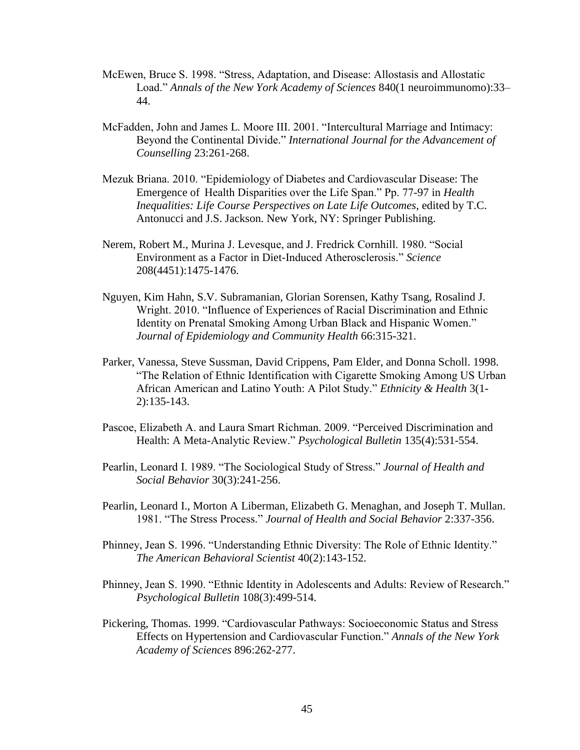- McEwen, Bruce S. 1998. "Stress, Adaptation, and Disease: Allostasis and Allostatic Load." *Annals of the New York Academy of Sciences* 840(1 neuroimmunomo):33– 44.
- McFadden, John and James L. Moore III. 2001. "Intercultural Marriage and Intimacy: Beyond the Continental Divide." *International Journal for the Advancement of Counselling* 23:261-268.
- Mezuk Briana. 2010. "Epidemiology of Diabetes and Cardiovascular Disease: The Emergence of Health Disparities over the Life Span." Pp. 77-97 in *Health Inequalities: Life Course Perspectives on Late Life Outcomes*, edited by T.C. Antonucci and J.S. Jackson. New York, NY: Springer Publishing.
- Nerem, Robert M., Murina J. Levesque, and J. Fredrick Cornhill. 1980. "Social Environment as a Factor in Diet-Induced Atherosclerosis." *Science* 208(4451):1475-1476.
- Nguyen, Kim Hahn, S.V. Subramanian, Glorian Sorensen, Kathy Tsang, Rosalind J. Wright. 2010. "Influence of Experiences of Racial Discrimination and Ethnic Identity on Prenatal Smoking Among Urban Black and Hispanic Women." *Journal of Epidemiology and Community Health* 66:315-321.
- Parker, Vanessa, Steve Sussman, David Crippens, Pam Elder, and Donna Scholl. 1998. "The Relation of Ethnic Identification with Cigarette Smoking Among US Urban African American and Latino Youth: A Pilot Study." *Ethnicity & Health* 3(1- 2):135-143.
- Pascoe, Elizabeth A. and Laura Smart Richman. 2009. "Perceived Discrimination and Health: A Meta-Analytic Review." *Psychological Bulletin* 135(4):531-554.
- Pearlin, Leonard I. 1989. "The Sociological Study of Stress." *Journal of Health and Social Behavior* 30(3):241-256.
- Pearlin, Leonard I., Morton A Liberman, Elizabeth G. Menaghan, and Joseph T. Mullan. 1981. "The Stress Process." *Journal of Health and Social Behavior* 2:337-356.
- Phinney, Jean S. 1996. "Understanding Ethnic Diversity: The Role of Ethnic Identity." *The American Behavioral Scientist* 40(2):143-152.
- Phinney, Jean S. 1990. "Ethnic Identity in Adolescents and Adults: Review of Research." *Psychological Bulletin* 108(3):499-514.
- Pickering, Thomas. 1999. "Cardiovascular Pathways: Socioeconomic Status and Stress Effects on Hypertension and Cardiovascular Function." *Annals of the New York Academy of Sciences* 896:262-277.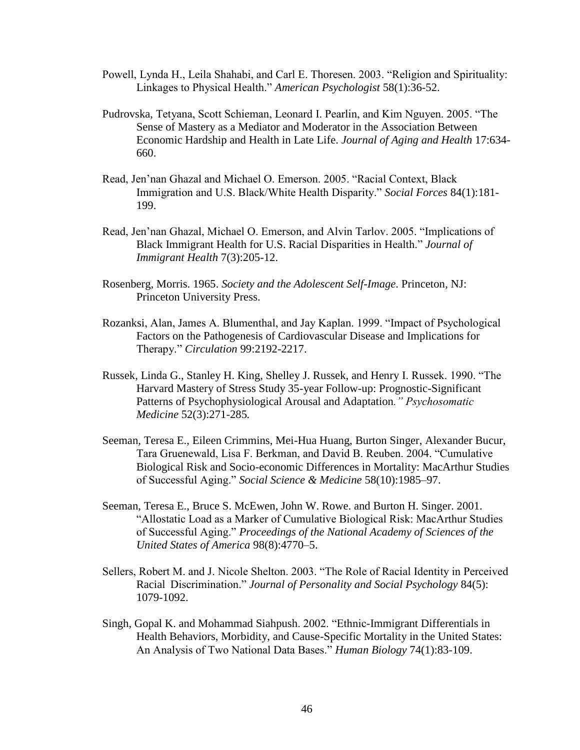- Powell, Lynda H., Leila Shahabi, and Carl E. Thoresen. 2003. "Religion and Spirituality: Linkages to Physical Health." *American Psychologist* 58(1):36-52.
- Pudrovska, Tetyana, Scott Schieman, Leonard I. Pearlin, and Kim Nguyen. 2005. "The Sense of Mastery as a Mediator and Moderator in the Association Between Economic Hardship and Health in Late Life. *Journal of Aging and Health* 17:634- 660.
- Read, Jen'nan Ghazal and Michael O. Emerson. 2005. "Racial Context, Black Immigration and U.S. Black/White Health Disparity." *Social Forces* 84(1):181- 199.
- Read, Jen'nan Ghazal, Michael O. Emerson, and Alvin Tarlov. 2005. "Implications of Black Immigrant Health for U.S. Racial Disparities in Health." *Journal of Immigrant Health* 7(3):205-12.
- Rosenberg, Morris. 1965. *Society and the Adolescent Self-Image*. Princeton, NJ: Princeton University Press.
- Rozanksi, Alan, James A. Blumenthal, and Jay Kaplan. 1999. "Impact of Psychological Factors on the Pathogenesis of Cardiovascular Disease and Implications for Therapy." *Circulation* 99:2192-2217.
- Russek, Linda G., Stanley H. King, Shelley J. Russek, and Henry I. Russek. 1990. "The Harvard Mastery of Stress Study 35-year Follow-up: Prognostic-Significant Patterns of Psychophysiological Arousal and Adaptation*." Psychosomatic Medicine* 52(3):271-285*.*
- Seeman, Teresa E., Eileen Crimmins, Mei-Hua Huang, Burton Singer, Alexander Bucur, Tara Gruenewald, Lisa F. Berkman, and David B. Reuben. 2004. "Cumulative Biological Risk and Socio-economic Differences in Mortality: MacArthur Studies of Successful Aging." *Social Science & Medicine* 58(10):1985–97.
- Seeman, Teresa E., Bruce S. McEwen, John W. Rowe. and Burton H. Singer. 2001. "Allostatic Load as a Marker of Cumulative Biological Risk: MacArthur Studies of Successful Aging." *Proceedings of the National Academy of Sciences of the United States of America* 98(8):4770–5.
- Sellers, Robert M. and J. Nicole Shelton. 2003. "The Role of Racial Identity in Perceived Racial Discrimination." *Journal of Personality and Social Psychology* 84(5): 1079-1092.
- Singh, Gopal K. and Mohammad Siahpush. 2002. "Ethnic-Immigrant Differentials in Health Behaviors, Morbidity, and Cause-Specific Mortality in the United States: An Analysis of Two National Data Bases." *Human Biology* 74(1):83-109.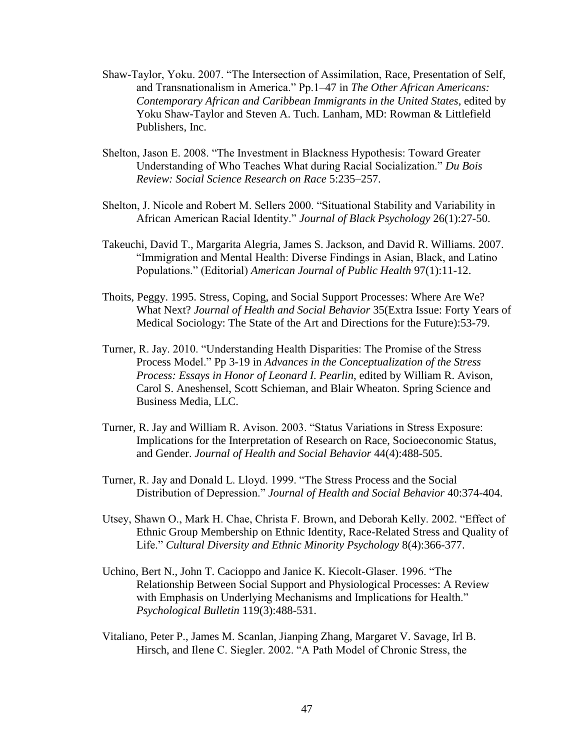- Shaw-Taylor, Yoku. 2007. "The Intersection of Assimilation, Race, Presentation of Self, and Transnationalism in America." Pp.1–47 in *The Other African Americans: Contemporary African and Caribbean Immigrants in the United States*, edited by Yoku Shaw-Taylor and Steven A. Tuch. Lanham, MD: Rowman & Littlefield Publishers, Inc.
- Shelton, Jason E. 2008. "The Investment in Blackness Hypothesis: Toward Greater Understanding of Who Teaches What during Racial Socialization." *Du Bois Review: Social Science Research on Race* 5:235–257.
- Shelton, J. Nicole and Robert M. Sellers 2000. "Situational Stability and Variability in African American Racial Identity." *Journal of Black Psychology* 26(1):27-50.
- Takeuchi, David T., Margarita Alegria, James S. Jackson, and David R. Williams. 2007. "Immigration and Mental Health: Diverse Findings in Asian, Black, and Latino Populations." (Editorial) *American Journal of Public Health* 97(1):11-12.
- Thoits, Peggy. 1995. Stress, Coping, and Social Support Processes: Where Are We? What Next? *Journal of Health and Social Behavior* 35(Extra Issue: Forty Years of Medical Sociology: The State of the Art and Directions for the Future):53-79.
- Turner, R. Jay. 2010. "Understanding Health Disparities: The Promise of the Stress Process Model." Pp 3-19 in *Advances in the Conceptualization of the Stress Process: Essays in Honor of Leonard I. Pearlin*, edited by William R. Avison, Carol S. Aneshensel, Scott Schieman, and Blair Wheaton. Spring Science and Business Media, LLC.
- Turner, R. Jay and William R. Avison. 2003. "Status Variations in Stress Exposure: Implications for the Interpretation of Research on Race, Socioeconomic Status, and Gender. *Journal of Health and Social Behavior* 44(4):488-505.
- Turner, R. Jay and Donald L. Lloyd. 1999. "The Stress Process and the Social Distribution of Depression." *Journal of Health and Social Behavior* 40:374-404.
- Utsey, Shawn O., Mark H. Chae, Christa F. Brown, and Deborah Kelly. 2002. "Effect of Ethnic Group Membership on Ethnic Identity, Race-Related Stress and Quality of Life." *Cultural Diversity and Ethnic Minority Psychology* 8(4):366-377.
- Uchino, Bert N., John T. Cacioppo and Janice K. Kiecolt-Glaser. 1996. "The Relationship Between Social Support and Physiological Processes: A Review with Emphasis on Underlying Mechanisms and Implications for Health." *Psychological Bulletin* 119(3):488-531.
- Vitaliano, Peter P., James M. Scanlan, Jianping Zhang, Margaret V. Savage, Irl B. Hirsch, and Ilene C. Siegler. 2002. "A Path Model of Chronic Stress, the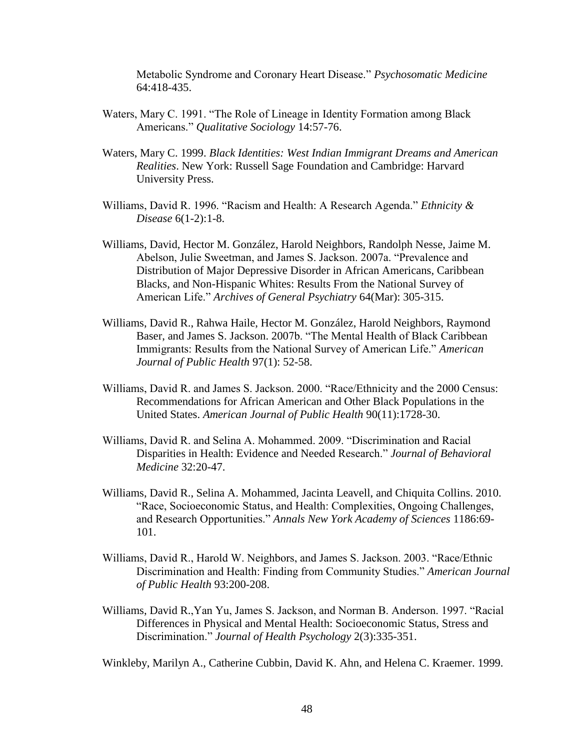Metabolic Syndrome and Coronary Heart Disease." *Psychosomatic Medicine* 64:418-435.

- Waters, Mary C. 1991. "The Role of Lineage in Identity Formation among Black Americans." *Qualitative Sociology* 14:57-76.
- Waters, Mary C. 1999. *Black Identities: West Indian Immigrant Dreams and American Realities*. New York: Russell Sage Foundation and Cambridge: Harvard University Press.
- Williams, David R. 1996. "Racism and Health: A Research Agenda." *Ethnicity & Disease* 6(1-2):1-8.
- Williams, David, Hector M. González, Harold Neighbors, Randolph Nesse, Jaime M. Abelson, Julie Sweetman, and James S. Jackson. 2007a. "Prevalence and Distribution of Major Depressive Disorder in African Americans, Caribbean Blacks, and Non-Hispanic Whites: Results From the National Survey of American Life." *Archives of General Psychiatry* 64(Mar): 305-315.
- Williams, David R., Rahwa Haile, Hector M. González, Harold Neighbors, Raymond Baser, and James S. Jackson. 2007b. "The Mental Health of Black Caribbean Immigrants: Results from the National Survey of American Life." *American Journal of Public Health* 97(1): 52-58.
- Williams, David R. and James S. Jackson. 2000. "Race/Ethnicity and the 2000 Census: Recommendations for African American and Other Black Populations in the United States. *American Journal of Public Health* 90(11):1728-30.
- Williams, David R. and Selina A. Mohammed. 2009. "Discrimination and Racial Disparities in Health: Evidence and Needed Research." *Journal of Behavioral Medicine* 32:20-47.
- Williams, David R., Selina A. Mohammed, Jacinta Leavell, and Chiquita Collins. 2010. "Race, Socioeconomic Status, and Health: Complexities, Ongoing Challenges, and Research Opportunities." *Annals New York Academy of Sciences* 1186:69- 101.
- Williams, David R., Harold W. Neighbors, and James S. Jackson. 2003. "Race/Ethnic Discrimination and Health: Finding from Community Studies." *American Journal of Public Health* 93:200-208.
- Williams, David R.,Yan Yu, James S. Jackson, and Norman B. Anderson. 1997. "Racial Differences in Physical and Mental Health: Socioeconomic Status, Stress and Discrimination." *Journal of Health Psychology* 2(3):335-351.

Winkleby, Marilyn A., Catherine Cubbin, David K. Ahn, and Helena C. Kraemer. 1999.